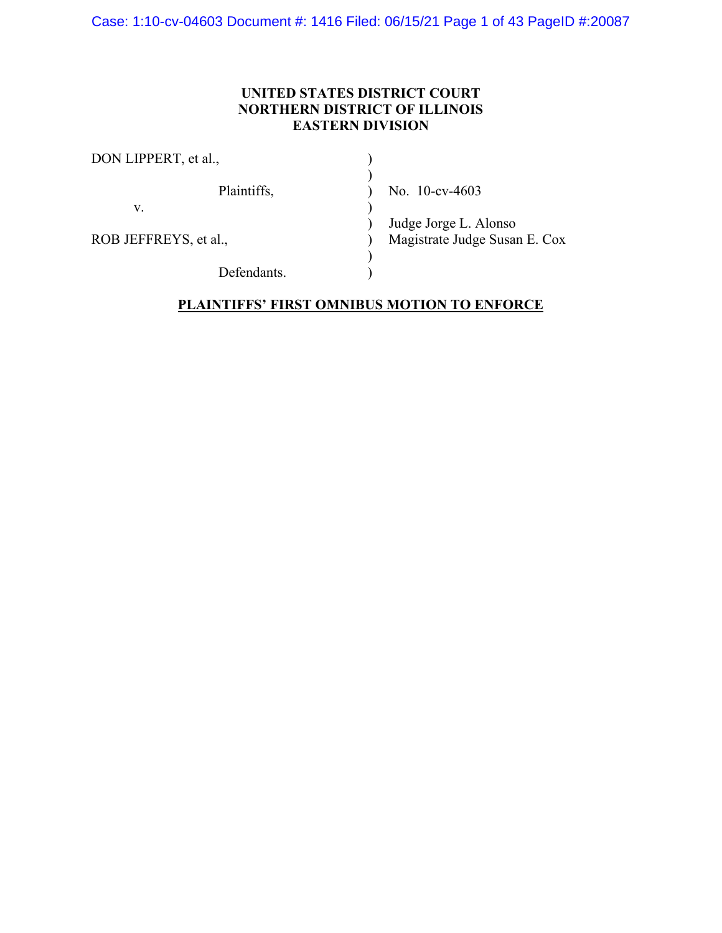Case: 1:10-cv-04603 Document #: 1416 Filed: 06/15/21 Page 1 of 43 PageID #:20087

## **UNITED STATES DISTRICT COURT NORTHERN DISTRICT OF ILLINOIS EASTERN DIVISION**

| DON LIPPERT, et al.,  |                               |  |  |
|-----------------------|-------------------------------|--|--|
| Plaintiffs,           | No. $10$ -cv-4603             |  |  |
| V.                    |                               |  |  |
|                       | Judge Jorge L. Alonso         |  |  |
| ROB JEFFREYS, et al., | Magistrate Judge Susan E. Cox |  |  |
|                       |                               |  |  |
| Defendants.           |                               |  |  |

## **PLAINTIFFS' FIRST OMNIBUS MOTION TO ENFORCE**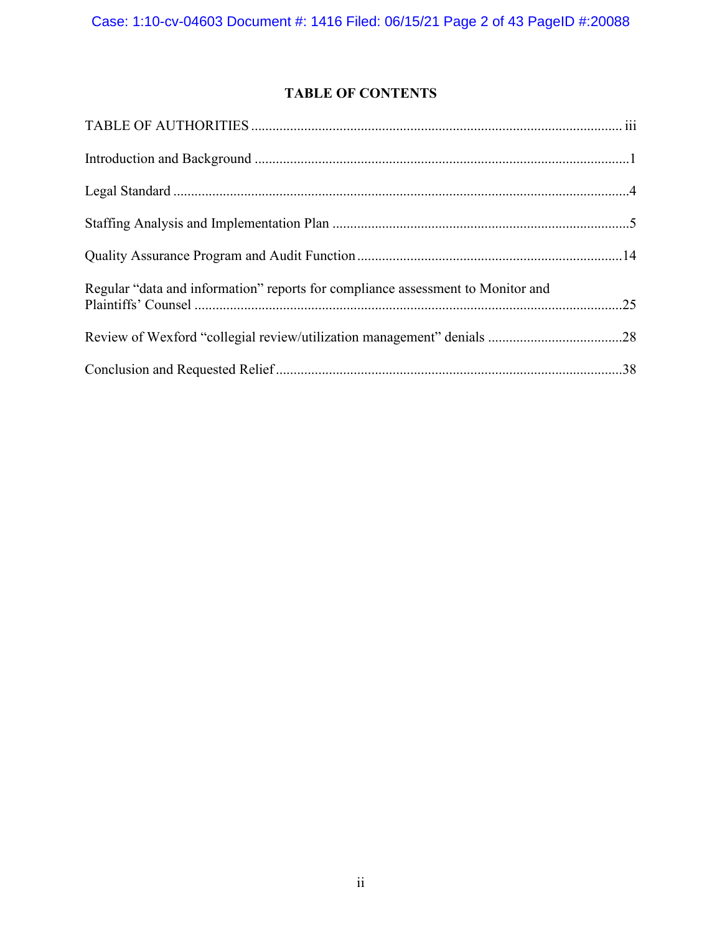# **TABLE OF CONTENTS**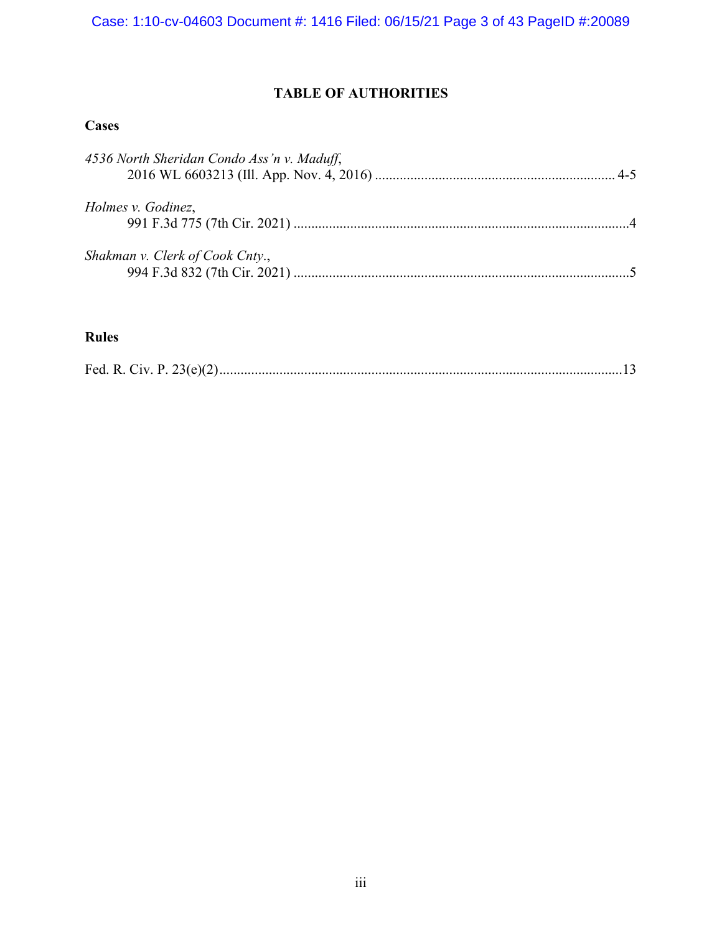## **TABLE OF AUTHORITIES**

## **Cases**

| 4536 North Sheridan Condo Ass'n v. Maduff, |  |
|--------------------------------------------|--|
| Holmes v. Godinez,                         |  |
| Shakman v. Clerk of Cook Cnty.,            |  |

## **Rules**

|--|--|--|--|--|--|--|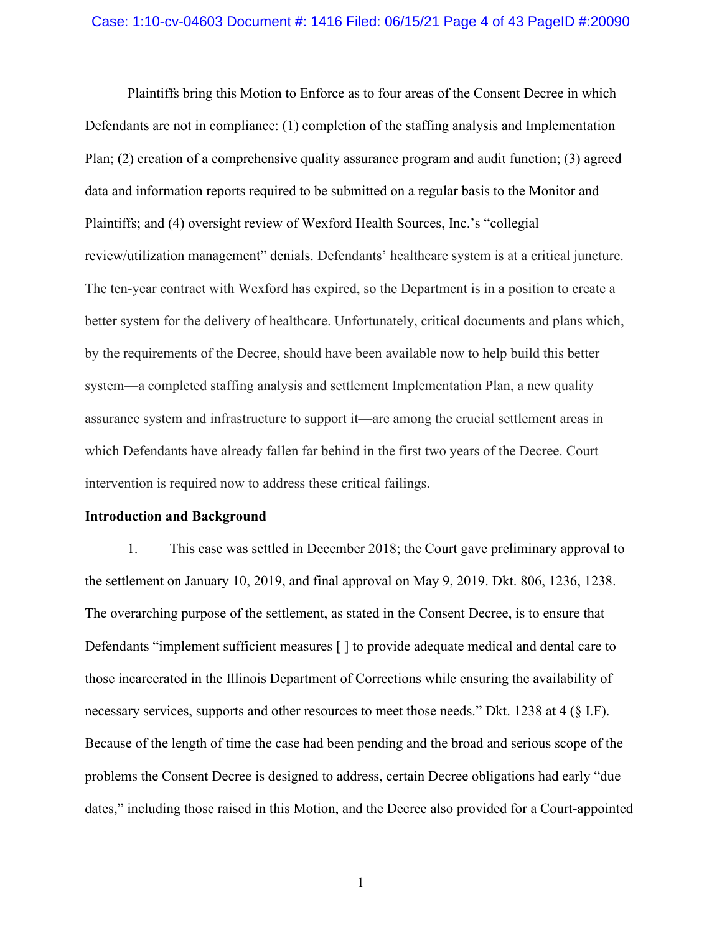#### Case: 1:10-cv-04603 Document #: 1416 Filed: 06/15/21 Page 4 of 43 PageID #:20090

Plaintiffs bring this Motion to Enforce as to four areas of the Consent Decree in which Defendants are not in compliance: (1) completion of the staffing analysis and Implementation Plan; (2) creation of a comprehensive quality assurance program and audit function; (3) agreed data and information reports required to be submitted on a regular basis to the Monitor and Plaintiffs; and (4) oversight review of Wexford Health Sources, Inc.'s "collegial review/utilization management" denials. Defendants' healthcare system is at a critical juncture. The ten-year contract with Wexford has expired, so the Department is in a position to create a better system for the delivery of healthcare. Unfortunately, critical documents and plans which, by the requirements of the Decree, should have been available now to help build this better system—a completed staffing analysis and settlement Implementation Plan, a new quality assurance system and infrastructure to support it—are among the crucial settlement areas in which Defendants have already fallen far behind in the first two years of the Decree. Court intervention is required now to address these critical failings.

#### **Introduction and Background**

1. This case was settled in December 2018; the Court gave preliminary approval to the settlement on January 10, 2019, and final approval on May 9, 2019. Dkt. 806, 1236, 1238. The overarching purpose of the settlement, as stated in the Consent Decree, is to ensure that Defendants "implement sufficient measures [ ] to provide adequate medical and dental care to those incarcerated in the Illinois Department of Corrections while ensuring the availability of necessary services, supports and other resources to meet those needs." Dkt. 1238 at 4 (§ I.F). Because of the length of time the case had been pending and the broad and serious scope of the problems the Consent Decree is designed to address, certain Decree obligations had early "due dates," including those raised in this Motion, and the Decree also provided for a Court-appointed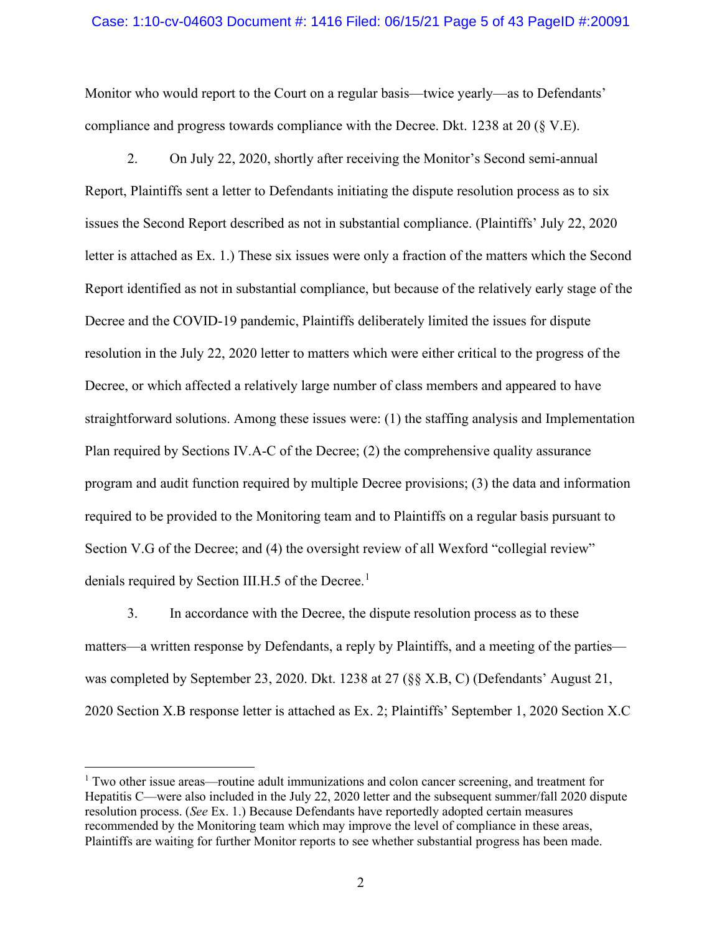#### Case: 1:10-cv-04603 Document #: 1416 Filed: 06/15/21 Page 5 of 43 PageID #:20091

Monitor who would report to the Court on a regular basis—twice yearly—as to Defendants' compliance and progress towards compliance with the Decree. Dkt. 1238 at 20 (§ V.E).

2. On July 22, 2020, shortly after receiving the Monitor's Second semi-annual Report, Plaintiffs sent a letter to Defendants initiating the dispute resolution process as to six issues the Second Report described as not in substantial compliance. (Plaintiffs' July 22, 2020 letter is attached as Ex. 1.) These six issues were only a fraction of the matters which the Second Report identified as not in substantial compliance, but because of the relatively early stage of the Decree and the COVID-19 pandemic, Plaintiffs deliberately limited the issues for dispute resolution in the July 22, 2020 letter to matters which were either critical to the progress of the Decree, or which affected a relatively large number of class members and appeared to have straightforward solutions. Among these issues were: (1) the staffing analysis and Implementation Plan required by Sections IV.A-C of the Decree; (2) the comprehensive quality assurance program and audit function required by multiple Decree provisions; (3) the data and information required to be provided to the Monitoring team and to Plaintiffs on a regular basis pursuant to Section V.G of the Decree; and (4) the oversight review of all Wexford "collegial review" denials required by Section III.H.5 of the Decree.<sup>[1](#page-4-0)</sup>

3. In accordance with the Decree, the dispute resolution process as to these matters—a written response by Defendants, a reply by Plaintiffs, and a meeting of the parties was completed by September 23, 2020. Dkt. 1238 at 27 (§§ X.B, C) (Defendants' August 21, 2020 Section X.B response letter is attached as Ex. 2; Plaintiffs' September 1, 2020 Section X.C

<span id="page-4-0"></span> $1$  Two other issue areas—routine adult immunizations and colon cancer screening, and treatment for Hepatitis C—were also included in the July 22, 2020 letter and the subsequent summer/fall 2020 dispute resolution process. (*See* Ex. 1.) Because Defendants have reportedly adopted certain measures recommended by the Monitoring team which may improve the level of compliance in these areas, Plaintiffs are waiting for further Monitor reports to see whether substantial progress has been made.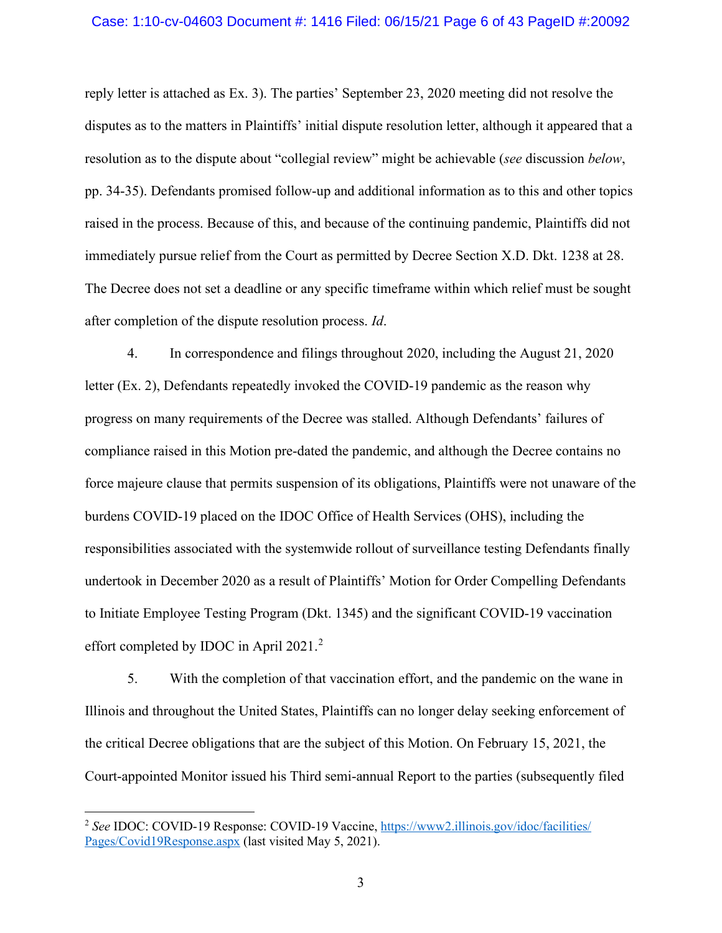#### Case: 1:10-cv-04603 Document #: 1416 Filed: 06/15/21 Page 6 of 43 PageID #:20092

reply letter is attached as Ex. 3). The parties' September 23, 2020 meeting did not resolve the disputes as to the matters in Plaintiffs' initial dispute resolution letter, although it appeared that a resolution as to the dispute about "collegial review" might be achievable (*see* discussion *below*, pp. 34-35). Defendants promised follow-up and additional information as to this and other topics raised in the process. Because of this, and because of the continuing pandemic, Plaintiffs did not immediately pursue relief from the Court as permitted by Decree Section X.D. Dkt. 1238 at 28. The Decree does not set a deadline or any specific timeframe within which relief must be sought after completion of the dispute resolution process. *Id*.

4. In correspondence and filings throughout 2020, including the August 21, 2020 letter (Ex. 2), Defendants repeatedly invoked the COVID-19 pandemic as the reason why progress on many requirements of the Decree was stalled. Although Defendants' failures of compliance raised in this Motion pre-dated the pandemic, and although the Decree contains no force majeure clause that permits suspension of its obligations, Plaintiffs were not unaware of the burdens COVID-19 placed on the IDOC Office of Health Services (OHS), including the responsibilities associated with the systemwide rollout of surveillance testing Defendants finally undertook in December 2020 as a result of Plaintiffs' Motion for Order Compelling Defendants to Initiate Employee Testing Program (Dkt. 1345) and the significant COVID-19 vaccination effort completed by IDOC in April [2](#page-5-0)021.<sup>2</sup>

5. With the completion of that vaccination effort, and the pandemic on the wane in Illinois and throughout the United States, Plaintiffs can no longer delay seeking enforcement of the critical Decree obligations that are the subject of this Motion. On February 15, 2021, the Court-appointed Monitor issued his Third semi-annual Report to the parties (subsequently filed

<span id="page-5-0"></span><sup>2</sup> *See* IDOC: COVID-19 Response: COVID-19 Vaccine, [https://www2.illinois.gov/idoc/facilities/](https://www2.illinois.gov/idoc/facilities/Pages/Covid19Response.aspx) [Pages/Covid19Response.aspx](https://www2.illinois.gov/idoc/facilities/Pages/Covid19Response.aspx) (last visited May 5, 2021).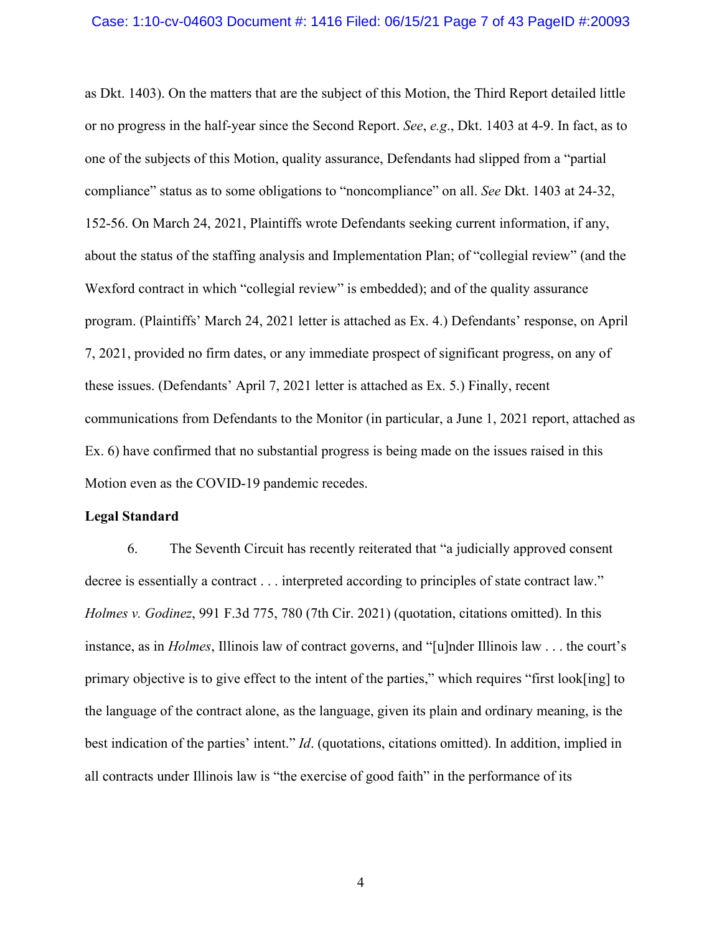#### Case: 1:10-cv-04603 Document #: 1416 Filed: 06/15/21 Page 7 of 43 PageID #:20093

as Dkt. 1403). On the matters that are the subject of this Motion, the Third Report detailed little or no progress in the half-year since the Second Report. *See*, *e.g*., Dkt. 1403 at 4-9. In fact, as to one of the subjects of this Motion, quality assurance, Defendants had slipped from a "partial compliance" status as to some obligations to "noncompliance" on all. *See* Dkt. 1403 at 24-32, 152-56. On March 24, 2021, Plaintiffs wrote Defendants seeking current information, if any, about the status of the staffing analysis and Implementation Plan; of "collegial review" (and the Wexford contract in which "collegial review" is embedded); and of the quality assurance program. (Plaintiffs' March 24, 2021 letter is attached as Ex. 4.) Defendants' response, on April 7, 2021, provided no firm dates, or any immediate prospect of significant progress, on any of these issues. (Defendants' April 7, 2021 letter is attached as Ex. 5.) Finally, recent communications from Defendants to the Monitor (in particular, a June 1, 2021 report, attached as Ex. 6) have confirmed that no substantial progress is being made on the issues raised in this Motion even as the COVID-19 pandemic recedes.

### **Legal Standard**

6. The Seventh Circuit has recently reiterated that "a judicially approved consent decree is essentially a contract . . . interpreted according to principles of state contract law." *Holmes v. Godinez*, 991 F.3d 775, 780 (7th Cir. 2021) (quotation, citations omitted). In this instance, as in *Holmes*, Illinois law of contract governs, and "[u]nder Illinois law . . . the court's primary objective is to give effect to the intent of the parties," which requires "first look[ing] to the language of the contract alone, as the language, given its plain and ordinary meaning, is the best indication of the parties' intent." *Id*. (quotations, citations omitted). In addition, implied in all contracts under Illinois law is "the exercise of good faith" in the performance of its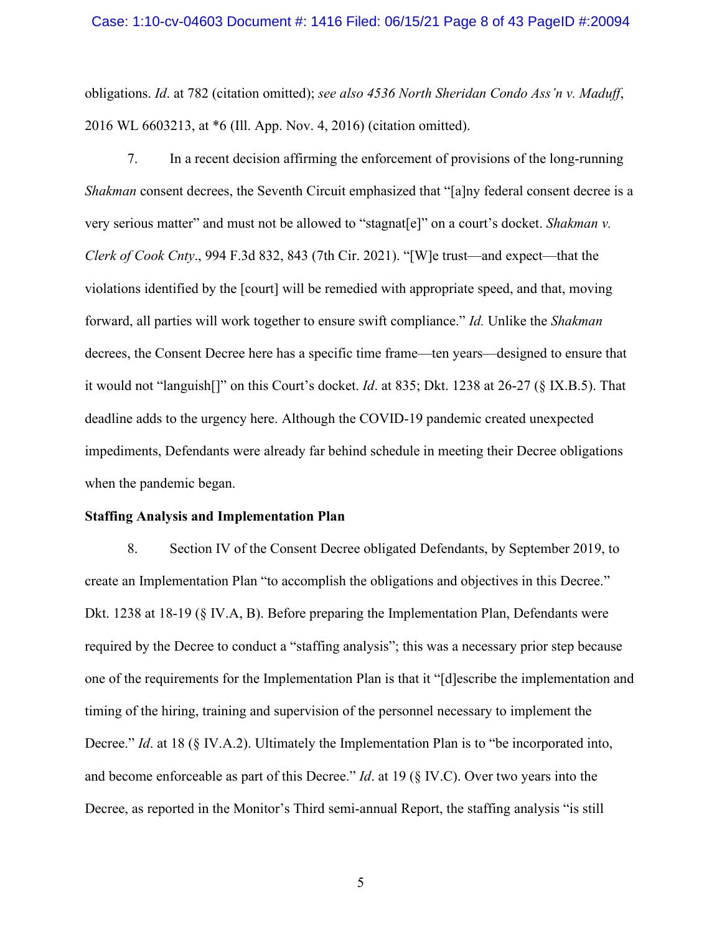#### Case: 1:10-cv-04603 Document #: 1416 Filed: 06/15/21 Page 8 of 43 PageID #:20094

obligations. *Id*. at 782 (citation omitted); *see also 4536 North Sheridan Condo Ass'n v. Maduff*, 2016 WL 6603213, at \*6 (Ill. App. Nov. 4, 2016) (citation omitted).

7. In a recent decision affirming the enforcement of provisions of the long-running *Shakman* consent decrees, the Seventh Circuit emphasized that "[a]ny federal consent decree is a very serious matter" and must not be allowed to "stagnat[e]" on a court's docket. *Shakman v. Clerk of Cook Cnty*., 994 F.3d 832, 843 (7th Cir. 2021). "[W]e trust—and expect—that the violations identified by the [court] will be remedied with appropriate speed, and that, moving forward, all parties will work together to ensure swift compliance." *Id.* Unlike the *Shakman* decrees, the Consent Decree here has a specific time frame—ten years—designed to ensure that it would not "languish[]" on this Court's docket. *Id*. at 835; Dkt. 1238 at 26-27 (§ IX.B.5). That deadline adds to the urgency here. Although the COVID-19 pandemic created unexpected impediments, Defendants were already far behind schedule in meeting their Decree obligations when the pandemic began.

#### **Staffing Analysis and Implementation Plan**

8. Section IV of the Consent Decree obligated Defendants, by September 2019, to create an Implementation Plan "to accomplish the obligations and objectives in this Decree." Dkt. 1238 at 18-19 (§ IV.A, B). Before preparing the Implementation Plan, Defendants were required by the Decree to conduct a "staffing analysis"; this was a necessary prior step because one of the requirements for the Implementation Plan is that it "[d]escribe the implementation and timing of the hiring, training and supervision of the personnel necessary to implement the Decree." *Id*. at 18 (§ IV.A.2). Ultimately the Implementation Plan is to "be incorporated into, and become enforceable as part of this Decree." *Id*. at 19 (§ IV.C). Over two years into the Decree, as reported in the Monitor's Third semi-annual Report, the staffing analysis "is still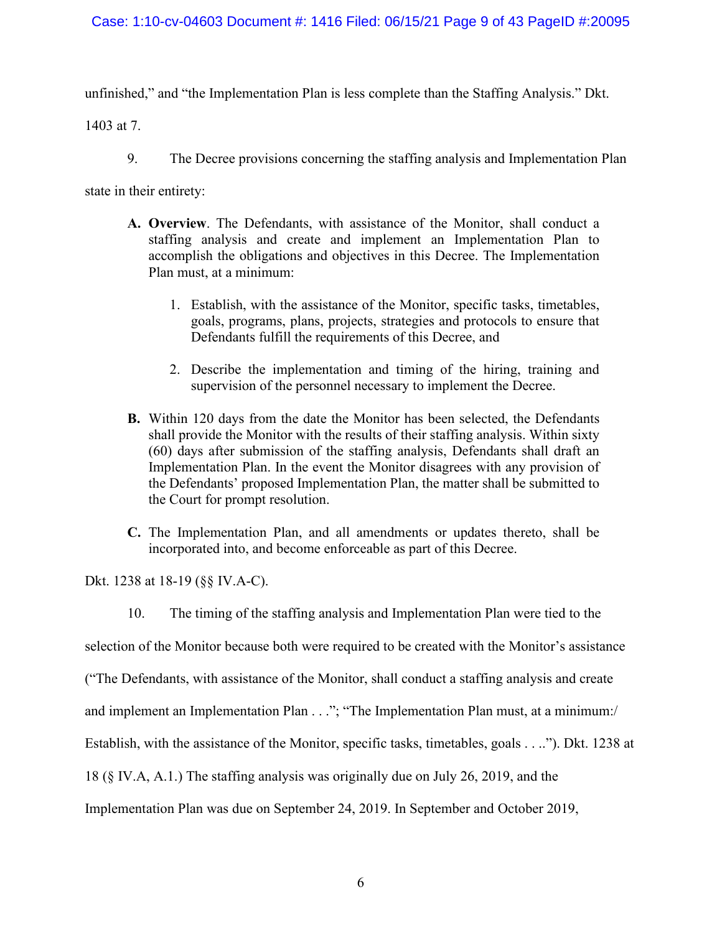### Case: 1:10-cv-04603 Document #: 1416 Filed: 06/15/21 Page 9 of 43 PageID #:20095

unfinished," and "the Implementation Plan is less complete than the Staffing Analysis." Dkt.

1403 at 7.

9. The Decree provisions concerning the staffing analysis and Implementation Plan

state in their entirety:

- **A. Overview**. The Defendants, with assistance of the Monitor, shall conduct a staffing analysis and create and implement an Implementation Plan to accomplish the obligations and objectives in this Decree. The Implementation Plan must, at a minimum:
	- 1. Establish, with the assistance of the Monitor, specific tasks, timetables, goals, programs, plans, projects, strategies and protocols to ensure that Defendants fulfill the requirements of this Decree, and
	- 2. Describe the implementation and timing of the hiring, training and supervision of the personnel necessary to implement the Decree.
- **B.** Within 120 days from the date the Monitor has been selected, the Defendants shall provide the Monitor with the results of their staffing analysis. Within sixty (60) days after submission of the staffing analysis, Defendants shall draft an Implementation Plan. In the event the Monitor disagrees with any provision of the Defendants' proposed Implementation Plan, the matter shall be submitted to the Court for prompt resolution.
- **C.** The Implementation Plan, and all amendments or updates thereto, shall be incorporated into, and become enforceable as part of this Decree.

Dkt. 1238 at 18-19 (§§ IV.A-C).

10. The timing of the staffing analysis and Implementation Plan were tied to the

selection of the Monitor because both were required to be created with the Monitor's assistance

("The Defendants, with assistance of the Monitor, shall conduct a staffing analysis and create

and implement an Implementation Plan . . ."; "The Implementation Plan must, at a minimum:/

Establish, with the assistance of the Monitor, specific tasks, timetables, goals . . .."). Dkt. 1238 at

18 (§ IV.A, A.1.) The staffing analysis was originally due on July 26, 2019, and the

Implementation Plan was due on September 24, 2019. In September and October 2019,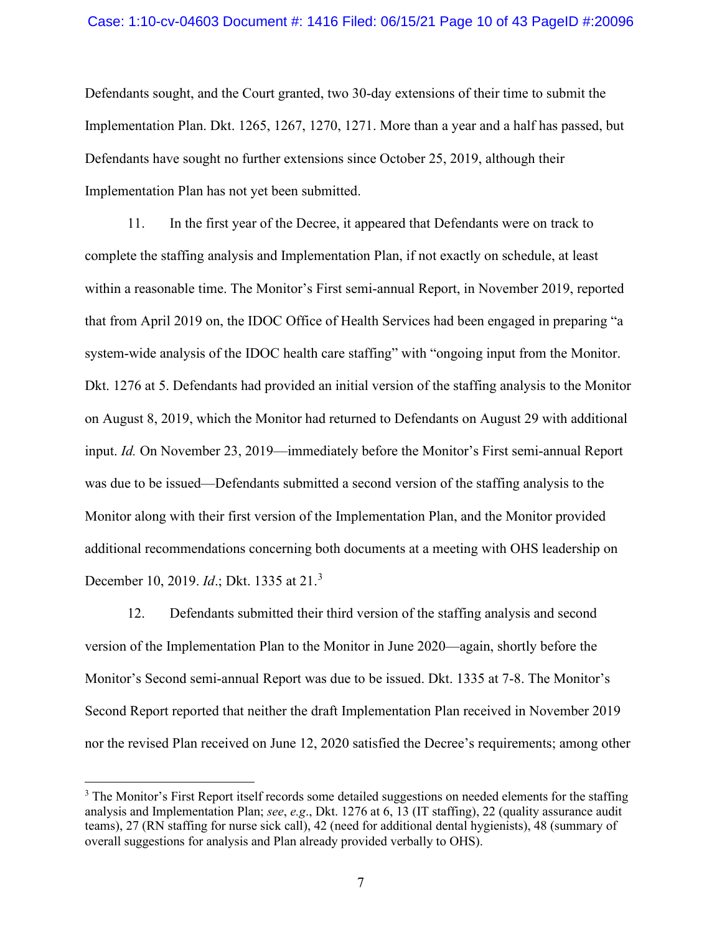#### Case: 1:10-cv-04603 Document #: 1416 Filed: 06/15/21 Page 10 of 43 PageID #:20096

Defendants sought, and the Court granted, two 30-day extensions of their time to submit the Implementation Plan. Dkt. 1265, 1267, 1270, 1271. More than a year and a half has passed, but Defendants have sought no further extensions since October 25, 2019, although their Implementation Plan has not yet been submitted.

11. In the first year of the Decree, it appeared that Defendants were on track to complete the staffing analysis and Implementation Plan, if not exactly on schedule, at least within a reasonable time. The Monitor's First semi-annual Report, in November 2019, reported that from April 2019 on, the IDOC Office of Health Services had been engaged in preparing "a system-wide analysis of the IDOC health care staffing" with "ongoing input from the Monitor. Dkt. 1276 at 5. Defendants had provided an initial version of the staffing analysis to the Monitor on August 8, 2019, which the Monitor had returned to Defendants on August 29 with additional input. *Id.* On November 23, 2019—immediately before the Monitor's First semi-annual Report was due to be issued—Defendants submitted a second version of the staffing analysis to the Monitor along with their first version of the Implementation Plan, and the Monitor provided additional recommendations concerning both documents at a meeting with OHS leadership on December 10, 2019. *Id*.; Dkt. 1335 at 21.[3](#page-9-0)

12. Defendants submitted their third version of the staffing analysis and second version of the Implementation Plan to the Monitor in June 2020—again, shortly before the Monitor's Second semi-annual Report was due to be issued. Dkt. 1335 at 7-8. The Monitor's Second Report reported that neither the draft Implementation Plan received in November 2019 nor the revised Plan received on June 12, 2020 satisfied the Decree's requirements; among other

<span id="page-9-0"></span><sup>&</sup>lt;sup>3</sup> The Monitor's First Report itself records some detailed suggestions on needed elements for the staffing analysis and Implementation Plan; *see*, *e.g*., Dkt. 1276 at 6, 13 (IT staffing), 22 (quality assurance audit teams), 27 (RN staffing for nurse sick call), 42 (need for additional dental hygienists), 48 (summary of overall suggestions for analysis and Plan already provided verbally to OHS).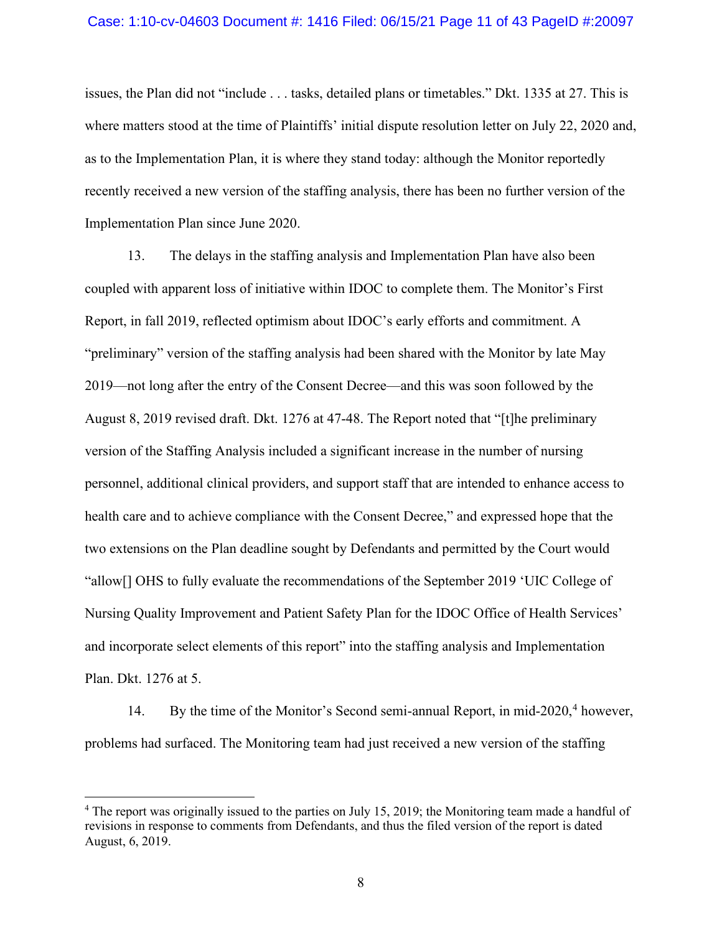#### Case: 1:10-cv-04603 Document #: 1416 Filed: 06/15/21 Page 11 of 43 PageID #:20097

issues, the Plan did not "include . . . tasks, detailed plans or timetables." Dkt. 1335 at 27. This is where matters stood at the time of Plaintiffs' initial dispute resolution letter on July 22, 2020 and, as to the Implementation Plan, it is where they stand today: although the Monitor reportedly recently received a new version of the staffing analysis, there has been no further version of the Implementation Plan since June 2020.

13. The delays in the staffing analysis and Implementation Plan have also been coupled with apparent loss of initiative within IDOC to complete them. The Monitor's First Report, in fall 2019, reflected optimism about IDOC's early efforts and commitment. A "preliminary" version of the staffing analysis had been shared with the Monitor by late May 2019—not long after the entry of the Consent Decree—and this was soon followed by the August 8, 2019 revised draft. Dkt. 1276 at 47-48. The Report noted that "[t]he preliminary version of the Staffing Analysis included a significant increase in the number of nursing personnel, additional clinical providers, and support staff that are intended to enhance access to health care and to achieve compliance with the Consent Decree," and expressed hope that the two extensions on the Plan deadline sought by Defendants and permitted by the Court would "allow[] OHS to fully evaluate the recommendations of the September 2019 'UIC College of Nursing Quality Improvement and Patient Safety Plan for the IDOC Office of Health Services' and incorporate select elements of this report" into the staffing analysis and Implementation Plan. Dkt. 1276 at 5.

1[4](#page-10-0). By the time of the Monitor's Second semi-annual Report, in mid-2020,<sup>4</sup> however, problems had surfaced. The Monitoring team had just received a new version of the staffing

<span id="page-10-0"></span><sup>4</sup> The report was originally issued to the parties on July 15, 2019; the Monitoring team made a handful of revisions in response to comments from Defendants, and thus the filed version of the report is dated August, 6, 2019.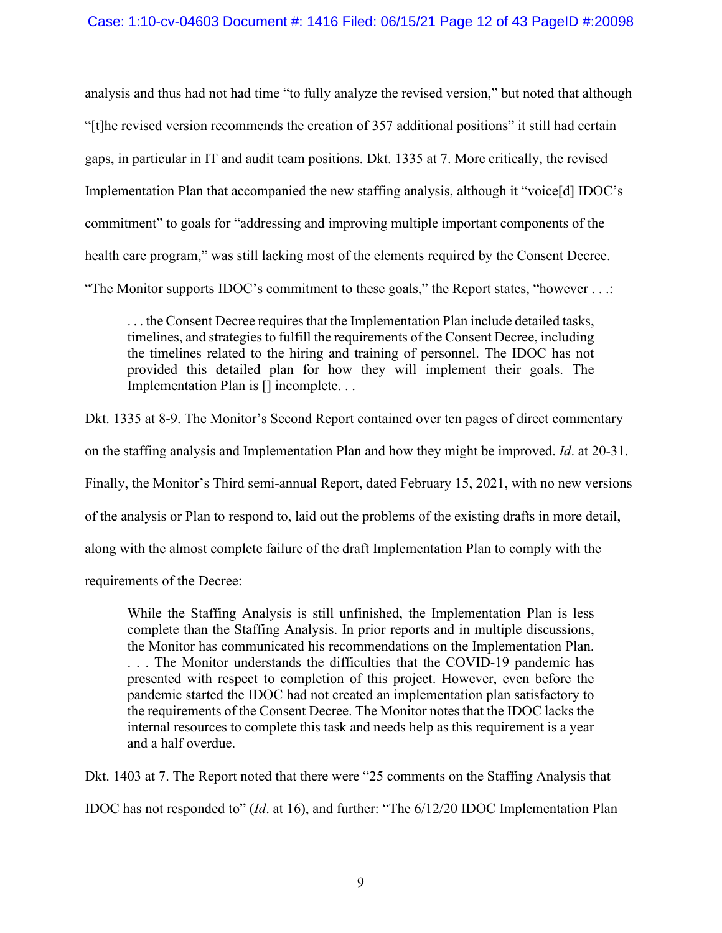### Case: 1:10-cv-04603 Document #: 1416 Filed: 06/15/21 Page 12 of 43 PageID #:20098

analysis and thus had not had time "to fully analyze the revised version," but noted that although "[t]he revised version recommends the creation of 357 additional positions" it still had certain gaps, in particular in IT and audit team positions. Dkt. 1335 at 7. More critically, the revised Implementation Plan that accompanied the new staffing analysis, although it "voice[d] IDOC's commitment" to goals for "addressing and improving multiple important components of the health care program," was still lacking most of the elements required by the Consent Decree. "The Monitor supports IDOC's commitment to these goals," the Report states, "however . . .:

. . . the Consent Decree requires that the Implementation Plan include detailed tasks, timelines, and strategies to fulfill the requirements of the Consent Decree, including the timelines related to the hiring and training of personnel. The IDOC has not provided this detailed plan for how they will implement their goals. The Implementation Plan is  $[]$  incomplete. . .

Dkt. 1335 at 8-9. The Monitor's Second Report contained over ten pages of direct commentary on the staffing analysis and Implementation Plan and how they might be improved. *Id*. at 20-31. Finally, the Monitor's Third semi-annual Report, dated February 15, 2021, with no new versions of the analysis or Plan to respond to, laid out the problems of the existing drafts in more detail, along with the almost complete failure of the draft Implementation Plan to comply with the requirements of the Decree:

While the Staffing Analysis is still unfinished, the Implementation Plan is less complete than the Staffing Analysis. In prior reports and in multiple discussions, the Monitor has communicated his recommendations on the Implementation Plan. . . . The Monitor understands the difficulties that the COVID-19 pandemic has presented with respect to completion of this project. However, even before the pandemic started the IDOC had not created an implementation plan satisfactory to the requirements of the Consent Decree. The Monitor notes that the IDOC lacks the internal resources to complete this task and needs help as this requirement is a year and a half overdue.

Dkt. 1403 at 7. The Report noted that there were "25 comments on the Staffing Analysis that IDOC has not responded to" (*Id*. at 16), and further: "The 6/12/20 IDOC Implementation Plan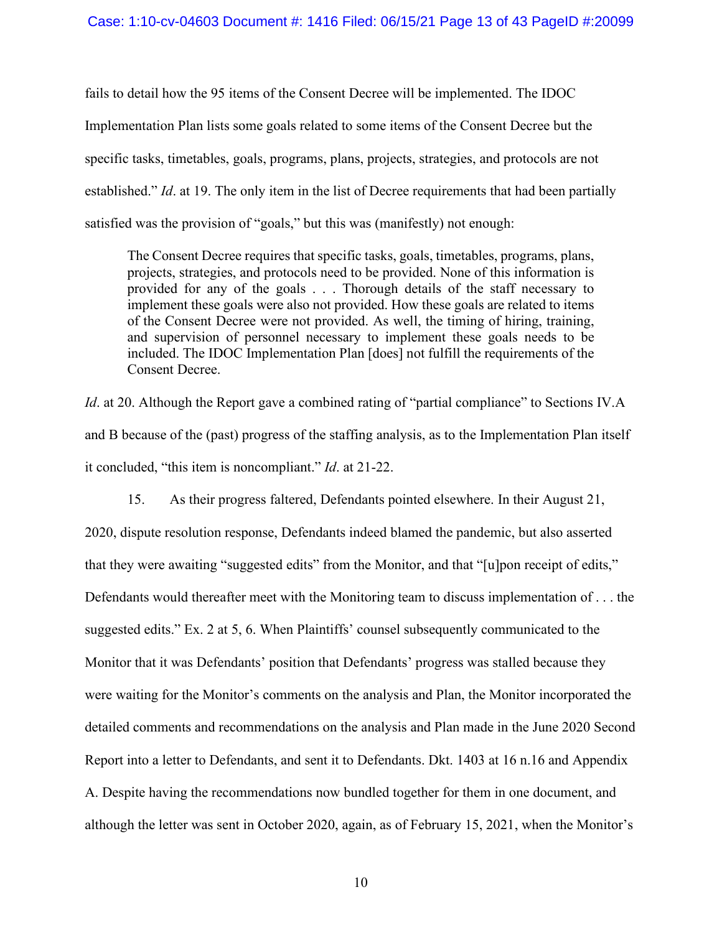#### Case: 1:10-cv-04603 Document #: 1416 Filed: 06/15/21 Page 13 of 43 PageID #:20099

fails to detail how the 95 items of the Consent Decree will be implemented. The IDOC Implementation Plan lists some goals related to some items of the Consent Decree but the specific tasks, timetables, goals, programs, plans, projects, strategies, and protocols are not established." *Id*. at 19. The only item in the list of Decree requirements that had been partially satisfied was the provision of "goals," but this was (manifestly) not enough:

The Consent Decree requires that specific tasks, goals, timetables, programs, plans, projects, strategies, and protocols need to be provided. None of this information is provided for any of the goals . . . Thorough details of the staff necessary to implement these goals were also not provided. How these goals are related to items of the Consent Decree were not provided. As well, the timing of hiring, training, and supervision of personnel necessary to implement these goals needs to be included. The IDOC Implementation Plan [does] not fulfill the requirements of the Consent Decree.

*Id.* at 20. Although the Report gave a combined rating of "partial compliance" to Sections IV.A and B because of the (past) progress of the staffing analysis, as to the Implementation Plan itself it concluded, "this item is noncompliant." *Id*. at 21-22.

15. As their progress faltered, Defendants pointed elsewhere. In their August 21, 2020, dispute resolution response, Defendants indeed blamed the pandemic, but also asserted that they were awaiting "suggested edits" from the Monitor, and that "[u]pon receipt of edits," Defendants would thereafter meet with the Monitoring team to discuss implementation of . . . the suggested edits." Ex. 2 at 5, 6. When Plaintiffs' counsel subsequently communicated to the Monitor that it was Defendants' position that Defendants' progress was stalled because they were waiting for the Monitor's comments on the analysis and Plan, the Monitor incorporated the detailed comments and recommendations on the analysis and Plan made in the June 2020 Second Report into a letter to Defendants, and sent it to Defendants. Dkt. 1403 at 16 n.16 and Appendix A. Despite having the recommendations now bundled together for them in one document, and although the letter was sent in October 2020, again, as of February 15, 2021, when the Monitor's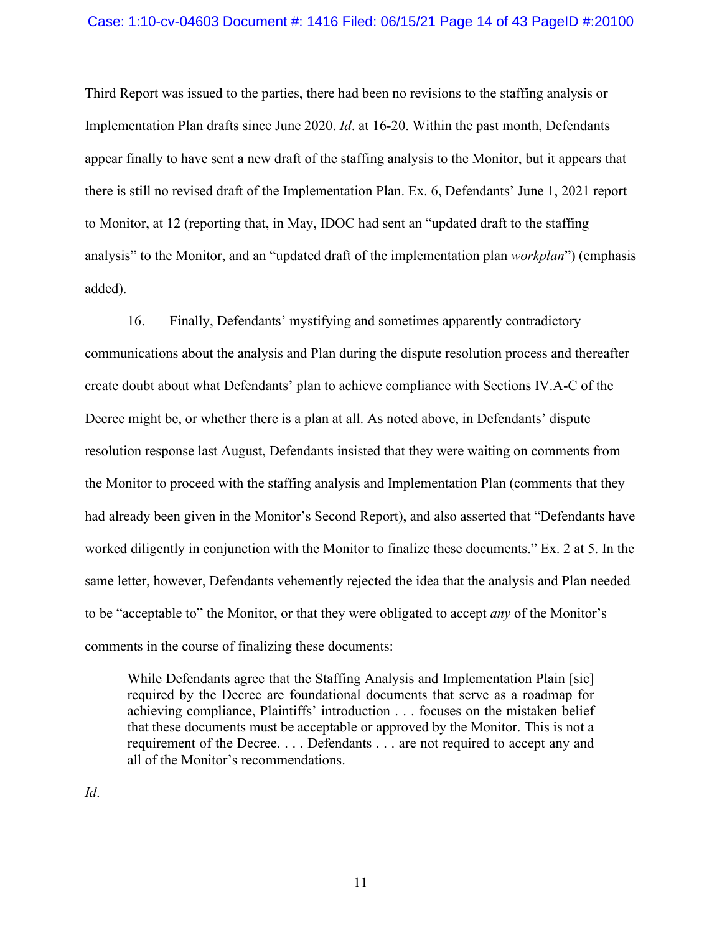#### Case: 1:10-cv-04603 Document #: 1416 Filed: 06/15/21 Page 14 of 43 PageID #:20100

Third Report was issued to the parties, there had been no revisions to the staffing analysis or Implementation Plan drafts since June 2020. *Id*. at 16-20. Within the past month, Defendants appear finally to have sent a new draft of the staffing analysis to the Monitor, but it appears that there is still no revised draft of the Implementation Plan. Ex. 6, Defendants' June 1, 2021 report to Monitor, at 12 (reporting that, in May, IDOC had sent an "updated draft to the staffing analysis" to the Monitor, and an "updated draft of the implementation plan *workplan*") (emphasis added).

16. Finally, Defendants' mystifying and sometimes apparently contradictory communications about the analysis and Plan during the dispute resolution process and thereafter create doubt about what Defendants' plan to achieve compliance with Sections IV.A-C of the Decree might be, or whether there is a plan at all. As noted above, in Defendants' dispute resolution response last August, Defendants insisted that they were waiting on comments from the Monitor to proceed with the staffing analysis and Implementation Plan (comments that they had already been given in the Monitor's Second Report), and also asserted that "Defendants have worked diligently in conjunction with the Monitor to finalize these documents." Ex. 2 at 5. In the same letter, however, Defendants vehemently rejected the idea that the analysis and Plan needed to be "acceptable to" the Monitor, or that they were obligated to accept *any* of the Monitor's comments in the course of finalizing these documents:

While Defendants agree that the Staffing Analysis and Implementation Plain [sic] required by the Decree are foundational documents that serve as a roadmap for achieving compliance, Plaintiffs' introduction . . . focuses on the mistaken belief that these documents must be acceptable or approved by the Monitor. This is not a requirement of the Decree. . . . Defendants . . . are not required to accept any and all of the Monitor's recommendations.

*Id*.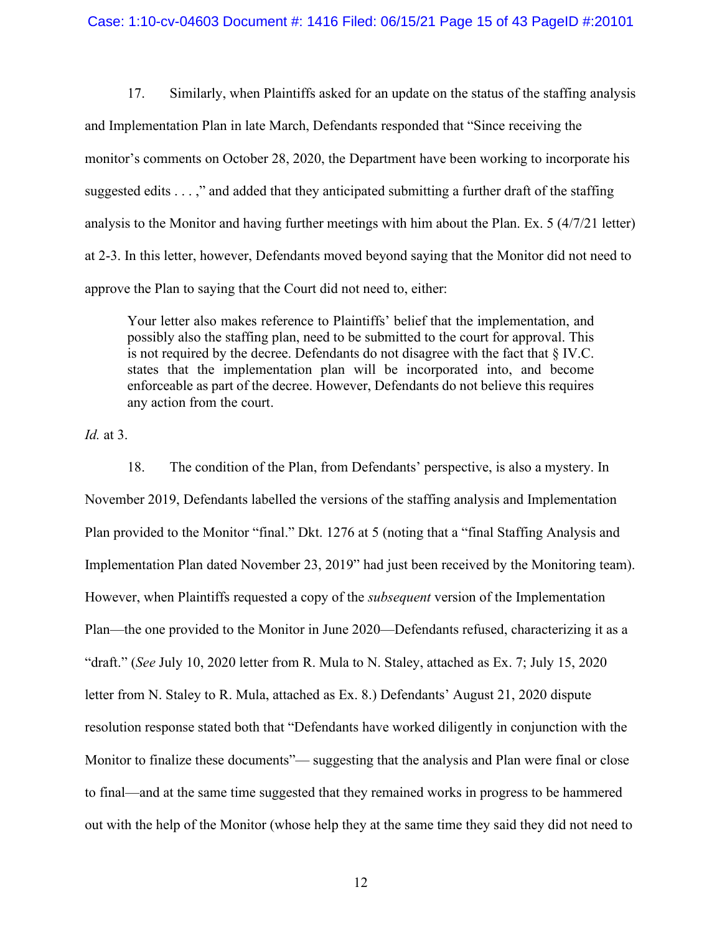#### Case: 1:10-cv-04603 Document #: 1416 Filed: 06/15/21 Page 15 of 43 PageID #:20101

17. Similarly, when Plaintiffs asked for an update on the status of the staffing analysis and Implementation Plan in late March, Defendants responded that "Since receiving the monitor's comments on October 28, 2020, the Department have been working to incorporate his suggested edits . . . ," and added that they anticipated submitting a further draft of the staffing analysis to the Monitor and having further meetings with him about the Plan. Ex. 5 (4/7/21 letter) at 2-3. In this letter, however, Defendants moved beyond saying that the Monitor did not need to approve the Plan to saying that the Court did not need to, either:

Your letter also makes reference to Plaintiffs' belief that the implementation, and possibly also the staffing plan, need to be submitted to the court for approval. This is not required by the decree. Defendants do not disagree with the fact that  $\S$  IV.C. states that the implementation plan will be incorporated into, and become enforceable as part of the decree. However, Defendants do not believe this requires any action from the court.

*Id.* at 3.

18. The condition of the Plan, from Defendants' perspective, is also a mystery. In November 2019, Defendants labelled the versions of the staffing analysis and Implementation Plan provided to the Monitor "final." Dkt. 1276 at 5 (noting that a "final Staffing Analysis and Implementation Plan dated November 23, 2019" had just been received by the Monitoring team). However, when Plaintiffs requested a copy of the *subsequent* version of the Implementation Plan—the one provided to the Monitor in June 2020—Defendants refused, characterizing it as a "draft." (*See* July 10, 2020 letter from R. Mula to N. Staley, attached as Ex. 7; July 15, 2020 letter from N. Staley to R. Mula, attached as Ex. 8.) Defendants' August 21, 2020 dispute resolution response stated both that "Defendants have worked diligently in conjunction with the Monitor to finalize these documents"— suggesting that the analysis and Plan were final or close to final—and at the same time suggested that they remained works in progress to be hammered out with the help of the Monitor (whose help they at the same time they said they did not need to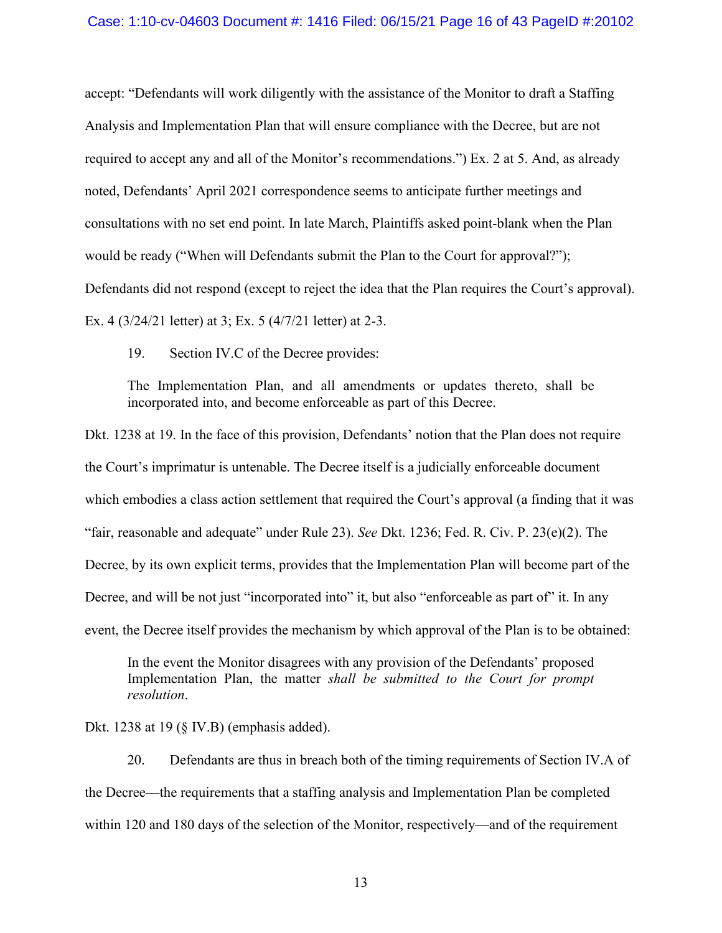#### Case: 1:10-cv-04603 Document #: 1416 Filed: 06/15/21 Page 16 of 43 PageID #:20102

accept: "Defendants will work diligently with the assistance of the Monitor to draft a Staffing Analysis and Implementation Plan that will ensure compliance with the Decree, but are not required to accept any and all of the Monitor's recommendations.") Ex. 2 at 5. And, as already noted, Defendants' April 2021 correspondence seems to anticipate further meetings and consultations with no set end point. In late March, Plaintiffs asked point-blank when the Plan would be ready ("When will Defendants submit the Plan to the Court for approval?"); Defendants did not respond (except to reject the idea that the Plan requires the Court's approval). Ex. 4 (3/24/21 letter) at 3; Ex. 5 (4/7/21 letter) at 2-3.

19. Section IV.C of the Decree provides:

The Implementation Plan, and all amendments or updates thereto, shall be incorporated into, and become enforceable as part of this Decree.

Dkt. 1238 at 19. In the face of this provision, Defendants' notion that the Plan does not require the Court's imprimatur is untenable. The Decree itself is a judicially enforceable document which embodies a class action settlement that required the Court's approval (a finding that it was "fair, reasonable and adequate" under Rule 23). *See* Dkt. 1236; Fed. R. Civ. P. 23(e)(2). The Decree, by its own explicit terms, provides that the Implementation Plan will become part of the Decree, and will be not just "incorporated into" it, but also "enforceable as part of" it. In any event, the Decree itself provides the mechanism by which approval of the Plan is to be obtained:

In the event the Monitor disagrees with any provision of the Defendants' proposed Implementation Plan, the matter *shall be submitted to the Court for prompt resolution*.

Dkt. 1238 at 19 (§ IV.B) (emphasis added).

20. Defendants are thus in breach both of the timing requirements of Section IV.A of the Decree—the requirements that a staffing analysis and Implementation Plan be completed within 120 and 180 days of the selection of the Monitor, respectively—and of the requirement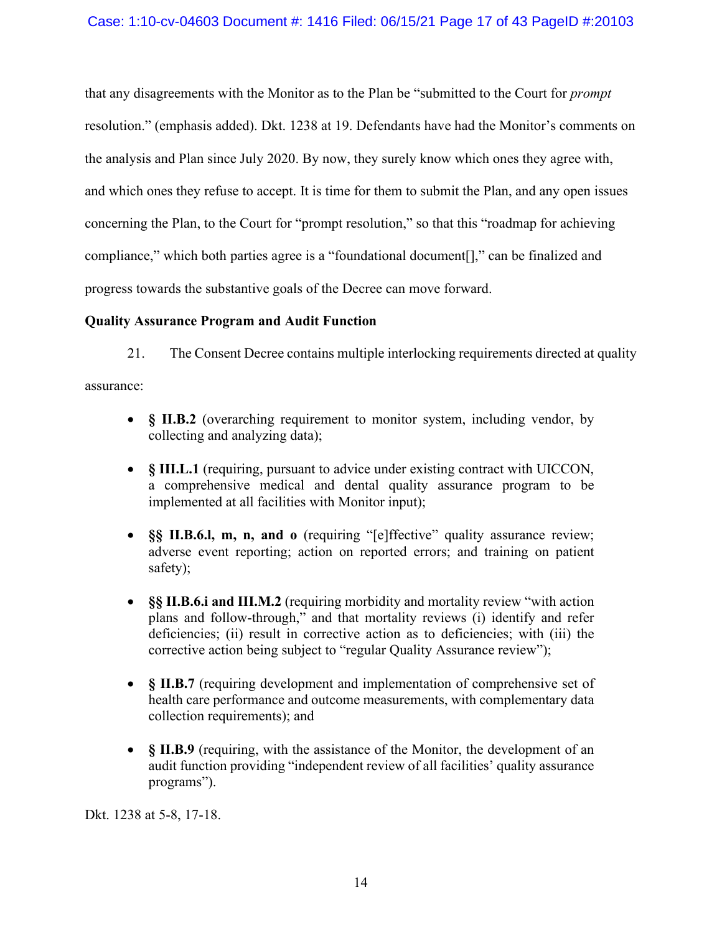that any disagreements with the Monitor as to the Plan be "submitted to the Court for *prompt* resolution." (emphasis added). Dkt. 1238 at 19. Defendants have had the Monitor's comments on the analysis and Plan since July 2020. By now, they surely know which ones they agree with, and which ones they refuse to accept. It is time for them to submit the Plan, and any open issues concerning the Plan, to the Court for "prompt resolution," so that this "roadmap for achieving compliance," which both parties agree is a "foundational document[]," can be finalized and progress towards the substantive goals of the Decree can move forward.

### **Quality Assurance Program and Audit Function**

21. The Consent Decree contains multiple interlocking requirements directed at quality

assurance:

- **§ II.B.2** (overarching requirement to monitor system, including vendor, by collecting and analyzing data);
- **§ III.L.1** (requiring, pursuant to advice under existing contract with UICCON, a comprehensive medical and dental quality assurance program to be implemented at all facilities with Monitor input);
- **§§ II.B.6.l, m, n, and o** (requiring "[e]ffective" quality assurance review; adverse event reporting; action on reported errors; and training on patient safety);
- **§§ II.B.6.i and III.M.2** (requiring morbidity and mortality review "with action plans and follow-through," and that mortality reviews (i) identify and refer deficiencies; (ii) result in corrective action as to deficiencies; with (iii) the corrective action being subject to "regular Quality Assurance review");
- **§ II.B.7** (requiring development and implementation of comprehensive set of health care performance and outcome measurements, with complementary data collection requirements); and
- **§ II.B.9** (requiring, with the assistance of the Monitor, the development of an audit function providing "independent review of all facilities' quality assurance programs").

Dkt. 1238 at 5-8, 17-18.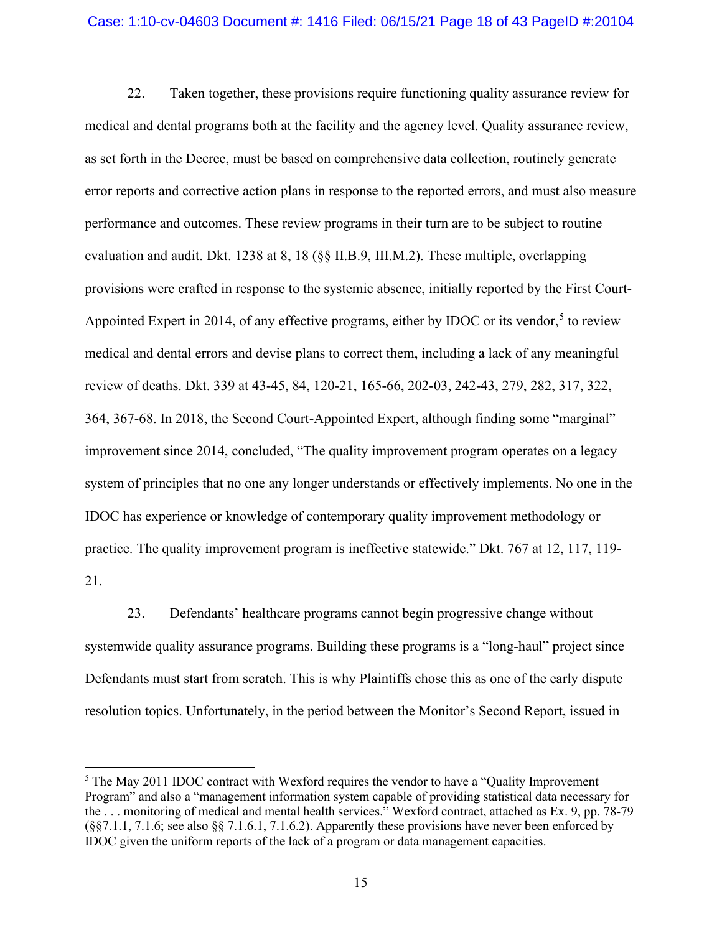#### Case: 1:10-cv-04603 Document #: 1416 Filed: 06/15/21 Page 18 of 43 PageID #:20104

22. Taken together, these provisions require functioning quality assurance review for medical and dental programs both at the facility and the agency level. Quality assurance review, as set forth in the Decree, must be based on comprehensive data collection, routinely generate error reports and corrective action plans in response to the reported errors, and must also measure performance and outcomes. These review programs in their turn are to be subject to routine evaluation and audit. Dkt. 1238 at 8, 18 (§§ II.B.9, III.M.2). These multiple, overlapping provisions were crafted in response to the systemic absence, initially reported by the First Court-Appointed Expert in 2014, of any effective programs, either by IDOC or its vendor,<sup>[5](#page-17-0)</sup> to review medical and dental errors and devise plans to correct them, including a lack of any meaningful review of deaths. Dkt. 339 at 43-45, 84, 120-21, 165-66, 202-03, 242-43, 279, 282, 317, 322, 364, 367-68. In 2018, the Second Court-Appointed Expert, although finding some "marginal" improvement since 2014, concluded, "The quality improvement program operates on a legacy system of principles that no one any longer understands or effectively implements. No one in the IDOC has experience or knowledge of contemporary quality improvement methodology or practice. The quality improvement program is ineffective statewide." Dkt. 767 at 12, 117, 119- 21.

23. Defendants' healthcare programs cannot begin progressive change without systemwide quality assurance programs. Building these programs is a "long-haul" project since Defendants must start from scratch. This is why Plaintiffs chose this as one of the early dispute resolution topics. Unfortunately, in the period between the Monitor's Second Report, issued in

<span id="page-17-0"></span> $5$  The May 2011 IDOC contract with Wexford requires the vendor to have a "Quality Improvement" Program" and also a "management information system capable of providing statistical data necessary for the . . . monitoring of medical and mental health services." Wexford contract, attached as Ex. 9, pp. 78-79 (§§7.1.1, 7.1.6; see also §§ 7.1.6.1, 7.1.6.2). Apparently these provisions have never been enforced by IDOC given the uniform reports of the lack of a program or data management capacities.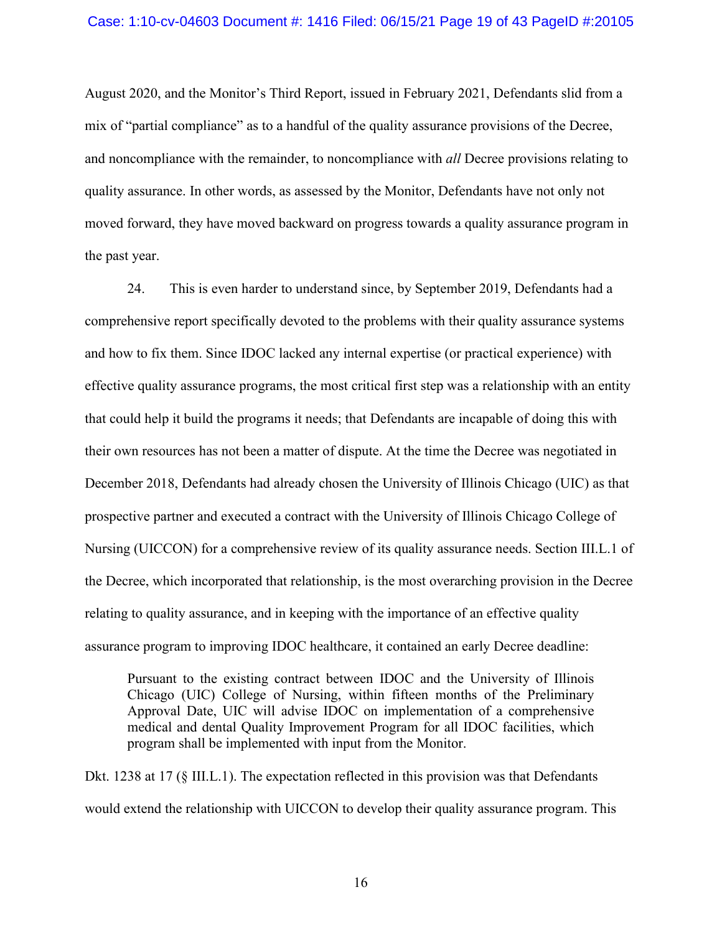#### Case: 1:10-cv-04603 Document #: 1416 Filed: 06/15/21 Page 19 of 43 PageID #:20105

August 2020, and the Monitor's Third Report, issued in February 2021, Defendants slid from a mix of "partial compliance" as to a handful of the quality assurance provisions of the Decree, and noncompliance with the remainder, to noncompliance with *all* Decree provisions relating to quality assurance. In other words, as assessed by the Monitor, Defendants have not only not moved forward, they have moved backward on progress towards a quality assurance program in the past year.

24. This is even harder to understand since, by September 2019, Defendants had a comprehensive report specifically devoted to the problems with their quality assurance systems and how to fix them. Since IDOC lacked any internal expertise (or practical experience) with effective quality assurance programs, the most critical first step was a relationship with an entity that could help it build the programs it needs; that Defendants are incapable of doing this with their own resources has not been a matter of dispute. At the time the Decree was negotiated in December 2018, Defendants had already chosen the University of Illinois Chicago (UIC) as that prospective partner and executed a contract with the University of Illinois Chicago College of Nursing (UICCON) for a comprehensive review of its quality assurance needs. Section III.L.1 of the Decree, which incorporated that relationship, is the most overarching provision in the Decree relating to quality assurance, and in keeping with the importance of an effective quality assurance program to improving IDOC healthcare, it contained an early Decree deadline:

Pursuant to the existing contract between IDOC and the University of Illinois Chicago (UIC) College of Nursing, within fifteen months of the Preliminary Approval Date, UIC will advise IDOC on implementation of a comprehensive medical and dental Quality Improvement Program for all IDOC facilities, which program shall be implemented with input from the Monitor.

Dkt. 1238 at 17 (§ III.L.1). The expectation reflected in this provision was that Defendants would extend the relationship with UICCON to develop their quality assurance program. This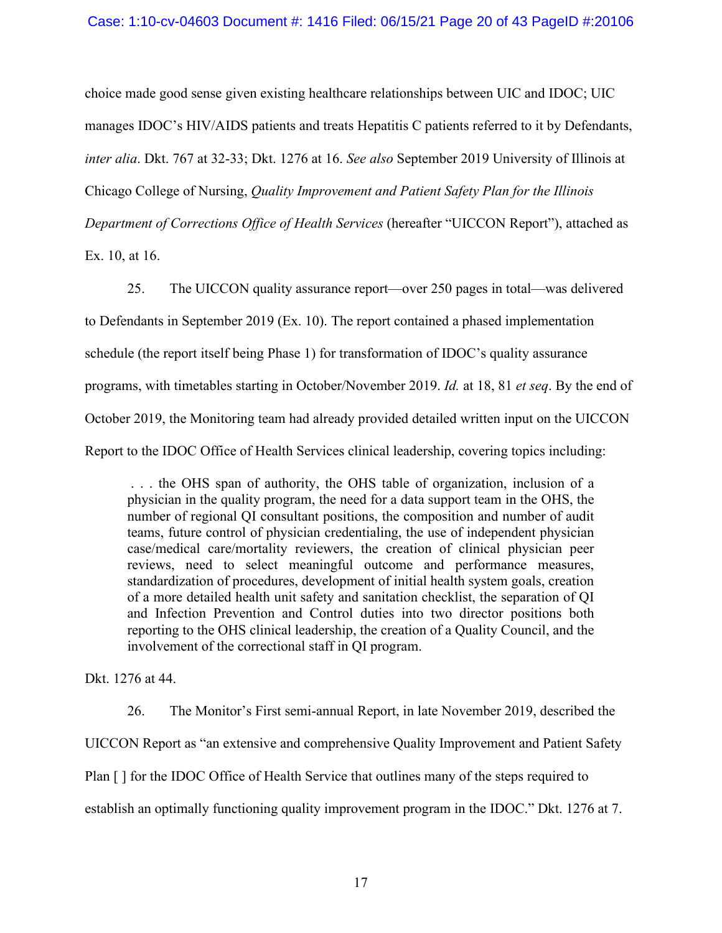choice made good sense given existing healthcare relationships between UIC and IDOC; UIC manages IDOC's HIV/AIDS patients and treats Hepatitis C patients referred to it by Defendants, *inter alia*. Dkt. 767 at 32-33; Dkt. 1276 at 16. *See also* September 2019 University of Illinois at Chicago College of Nursing, *Quality Improvement and Patient Safety Plan for the Illinois Department of Corrections Office of Health Services* (hereafter "UICCON Report"), attached as Ex. 10, at 16.

25. The UICCON quality assurance report—over 250 pages in total—was delivered to Defendants in September 2019 (Ex. 10). The report contained a phased implementation schedule (the report itself being Phase 1) for transformation of IDOC's quality assurance programs, with timetables starting in October/November 2019. *Id.* at 18, 81 *et seq*. By the end of October 2019, the Monitoring team had already provided detailed written input on the UICCON Report to the IDOC Office of Health Services clinical leadership, covering topics including:

. . . the OHS span of authority, the OHS table of organization, inclusion of a physician in the quality program, the need for a data support team in the OHS, the number of regional QI consultant positions, the composition and number of audit teams, future control of physician credentialing, the use of independent physician case/medical care/mortality reviewers, the creation of clinical physician peer reviews, need to select meaningful outcome and performance measures, standardization of procedures, development of initial health system goals, creation of a more detailed health unit safety and sanitation checklist, the separation of QI and Infection Prevention and Control duties into two director positions both reporting to the OHS clinical leadership, the creation of a Quality Council, and the involvement of the correctional staff in QI program.

Dkt. 1276 at 44.

26. The Monitor's First semi-annual Report, in late November 2019, described the UICCON Report as "an extensive and comprehensive Quality Improvement and Patient Safety Plan [] for the IDOC Office of Health Service that outlines many of the steps required to establish an optimally functioning quality improvement program in the IDOC." Dkt. 1276 at 7.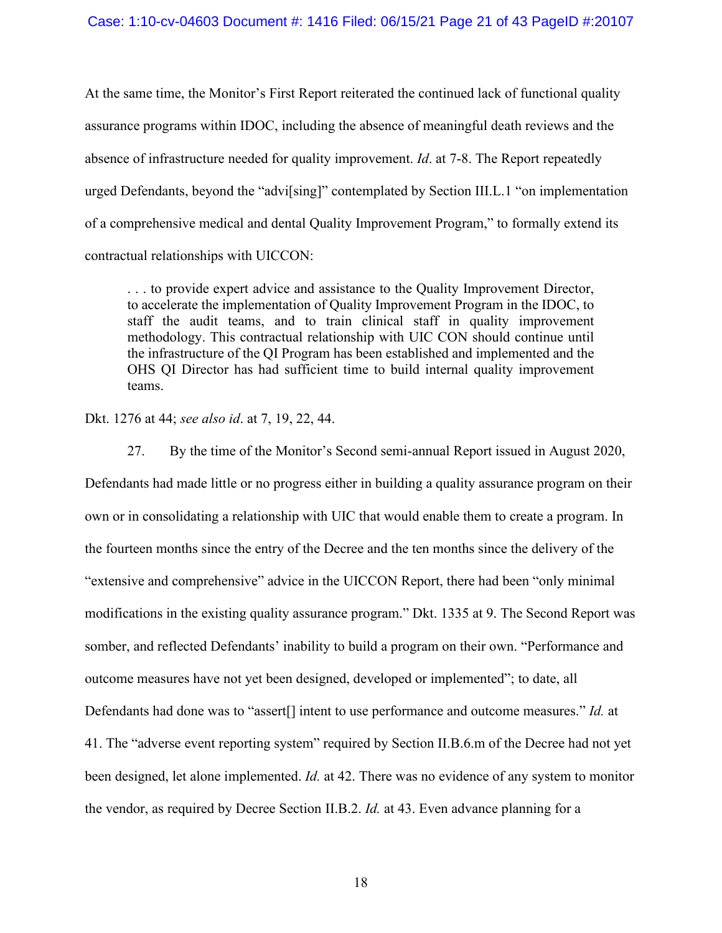At the same time, the Monitor's First Report reiterated the continued lack of functional quality assurance programs within IDOC, including the absence of meaningful death reviews and the absence of infrastructure needed for quality improvement. *Id*. at 7-8. The Report repeatedly urged Defendants, beyond the "advi[sing]" contemplated by Section III.L.1 "on implementation of a comprehensive medical and dental Quality Improvement Program," to formally extend its contractual relationships with UICCON:

. . . to provide expert advice and assistance to the Quality Improvement Director, to accelerate the implementation of Quality Improvement Program in the IDOC, to staff the audit teams, and to train clinical staff in quality improvement methodology. This contractual relationship with UIC CON should continue until the infrastructure of the QI Program has been established and implemented and the OHS QI Director has had sufficient time to build internal quality improvement teams.

Dkt. 1276 at 44; *see also id*. at 7, 19, 22, 44.

27. By the time of the Monitor's Second semi-annual Report issued in August 2020, Defendants had made little or no progress either in building a quality assurance program on their own or in consolidating a relationship with UIC that would enable them to create a program. In the fourteen months since the entry of the Decree and the ten months since the delivery of the "extensive and comprehensive" advice in the UICCON Report, there had been "only minimal modifications in the existing quality assurance program." Dkt. 1335 at 9. The Second Report was somber, and reflected Defendants' inability to build a program on their own. "Performance and outcome measures have not yet been designed, developed or implemented"; to date, all Defendants had done was to "assert[] intent to use performance and outcome measures." *Id.* at 41. The "adverse event reporting system" required by Section II.B.6.m of the Decree had not yet been designed, let alone implemented. *Id.* at 42. There was no evidence of any system to monitor the vendor, as required by Decree Section II.B.2. *Id.* at 43. Even advance planning for a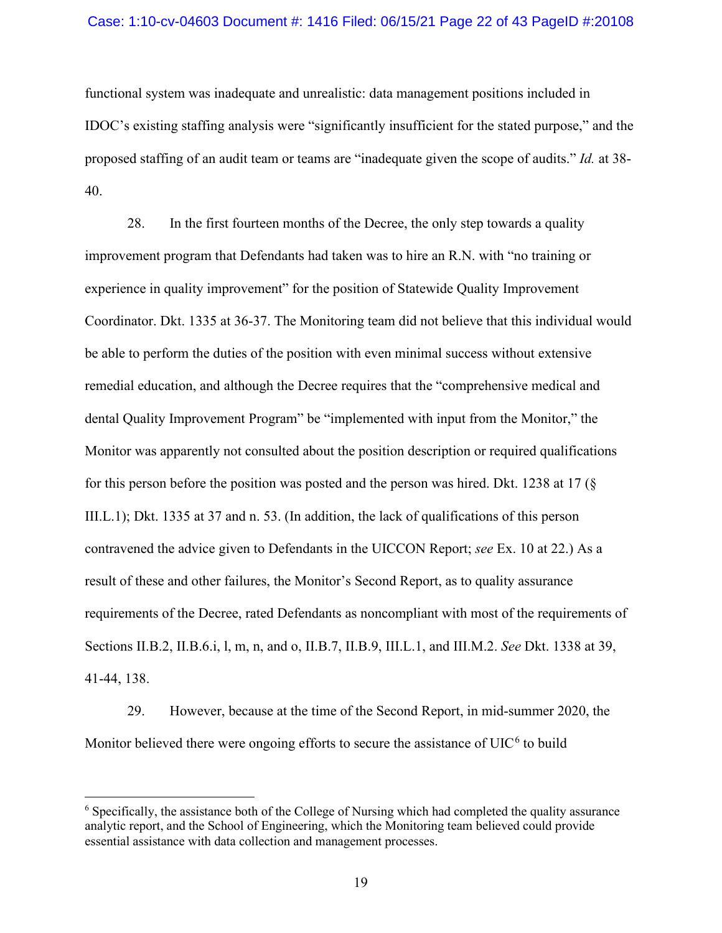#### Case: 1:10-cv-04603 Document #: 1416 Filed: 06/15/21 Page 22 of 43 PageID #:20108

functional system was inadequate and unrealistic: data management positions included in IDOC's existing staffing analysis were "significantly insufficient for the stated purpose," and the proposed staffing of an audit team or teams are "inadequate given the scope of audits." *Id.* at 38- 40.

28. In the first fourteen months of the Decree, the only step towards a quality improvement program that Defendants had taken was to hire an R.N. with "no training or experience in quality improvement" for the position of Statewide Quality Improvement Coordinator. Dkt. 1335 at 36-37. The Monitoring team did not believe that this individual would be able to perform the duties of the position with even minimal success without extensive remedial education, and although the Decree requires that the "comprehensive medical and dental Quality Improvement Program" be "implemented with input from the Monitor," the Monitor was apparently not consulted about the position description or required qualifications for this person before the position was posted and the person was hired. Dkt. 1238 at 17 (§ III.L.1); Dkt. 1335 at 37 and n. 53. (In addition, the lack of qualifications of this person contravened the advice given to Defendants in the UICCON Report; *see* Ex. 10 at 22.) As a result of these and other failures, the Monitor's Second Report, as to quality assurance requirements of the Decree, rated Defendants as noncompliant with most of the requirements of Sections II.B.2, II.B.6.i, l, m, n, and o, II.B.7, II.B.9, III.L.1, and III.M.2. *See* Dkt. 1338 at 39, 41-44, 138.

29. However, because at the time of the Second Report, in mid-summer 2020, the Monitor believed there were ongoing efforts to secure the assistance of  $UIC<sup>6</sup>$  $UIC<sup>6</sup>$  $UIC<sup>6</sup>$  to build

<span id="page-21-0"></span><sup>6</sup> Specifically, the assistance both of the College of Nursing which had completed the quality assurance analytic report, and the School of Engineering, which the Monitoring team believed could provide essential assistance with data collection and management processes.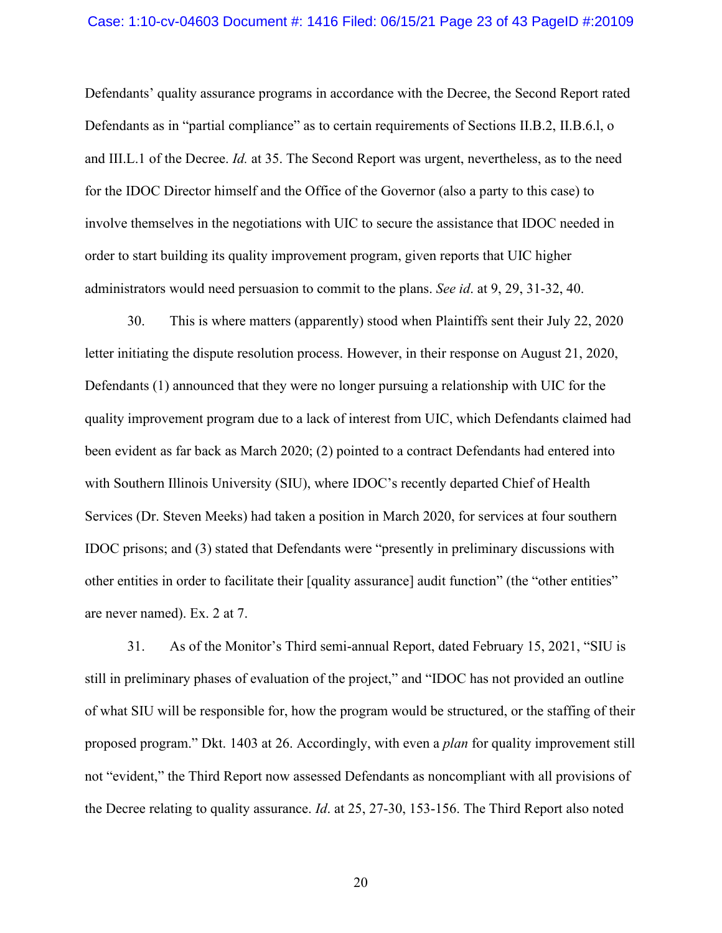#### Case: 1:10-cv-04603 Document #: 1416 Filed: 06/15/21 Page 23 of 43 PageID #:20109

Defendants' quality assurance programs in accordance with the Decree, the Second Report rated Defendants as in "partial compliance" as to certain requirements of Sections II.B.2, II.B.6.l, o and III.L.1 of the Decree. *Id.* at 35. The Second Report was urgent, nevertheless, as to the need for the IDOC Director himself and the Office of the Governor (also a party to this case) to involve themselves in the negotiations with UIC to secure the assistance that IDOC needed in order to start building its quality improvement program, given reports that UIC higher administrators would need persuasion to commit to the plans. *See id*. at 9, 29, 31-32, 40.

30. This is where matters (apparently) stood when Plaintiffs sent their July 22, 2020 letter initiating the dispute resolution process. However, in their response on August 21, 2020, Defendants (1) announced that they were no longer pursuing a relationship with UIC for the quality improvement program due to a lack of interest from UIC, which Defendants claimed had been evident as far back as March 2020; (2) pointed to a contract Defendants had entered into with Southern Illinois University (SIU), where IDOC's recently departed Chief of Health Services (Dr. Steven Meeks) had taken a position in March 2020, for services at four southern IDOC prisons; and (3) stated that Defendants were "presently in preliminary discussions with other entities in order to facilitate their [quality assurance] audit function" (the "other entities" are never named). Ex. 2 at 7.

31. As of the Monitor's Third semi-annual Report, dated February 15, 2021, "SIU is still in preliminary phases of evaluation of the project," and "IDOC has not provided an outline of what SIU will be responsible for, how the program would be structured, or the staffing of their proposed program." Dkt. 1403 at 26. Accordingly, with even a *plan* for quality improvement still not "evident," the Third Report now assessed Defendants as noncompliant with all provisions of the Decree relating to quality assurance. *Id*. at 25, 27-30, 153-156. The Third Report also noted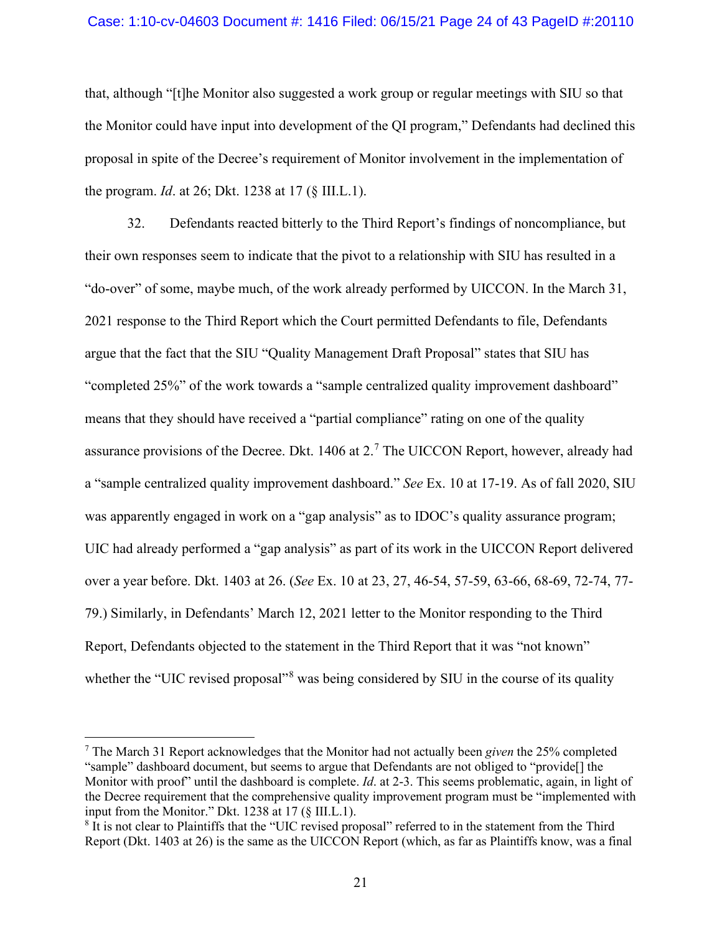#### Case: 1:10-cv-04603 Document #: 1416 Filed: 06/15/21 Page 24 of 43 PageID #:20110

that, although "[t]he Monitor also suggested a work group or regular meetings with SIU so that the Monitor could have input into development of the QI program," Defendants had declined this proposal in spite of the Decree's requirement of Monitor involvement in the implementation of the program. *Id*. at 26; Dkt. 1238 at 17 (§ III.L.1).

32. Defendants reacted bitterly to the Third Report's findings of noncompliance, but their own responses seem to indicate that the pivot to a relationship with SIU has resulted in a "do-over" of some, maybe much, of the work already performed by UICCON. In the March 31, 2021 response to the Third Report which the Court permitted Defendants to file, Defendants argue that the fact that the SIU "Quality Management Draft Proposal" states that SIU has "completed 25%" of the work towards a "sample centralized quality improvement dashboard" means that they should have received a "partial compliance" rating on one of the quality assurance provisions of the Decree. Dkt.  $1406$  at  $2<sup>7</sup>$  $2<sup>7</sup>$  $2<sup>7</sup>$  The UICCON Report, however, already had a "sample centralized quality improvement dashboard." *See* Ex. 10 at 17-19. As of fall 2020, SIU was apparently engaged in work on a "gap analysis" as to IDOC's quality assurance program; UIC had already performed a "gap analysis" as part of its work in the UICCON Report delivered over a year before. Dkt. 1403 at 26. (*See* Ex. 10 at 23, 27, 46-54, 57-59, 63-66, 68-69, 72-74, 77- 79.) Similarly, in Defendants' March 12, 2021 letter to the Monitor responding to the Third Report, Defendants objected to the statement in the Third Report that it was "not known" whether the "UIC revised proposal"<sup>[8](#page-23-1)</sup> was being considered by SIU in the course of its quality

<span id="page-23-0"></span><sup>7</sup> The March 31 Report acknowledges that the Monitor had not actually been *given* the 25% completed "sample" dashboard document, but seems to argue that Defendants are not obliged to "provide[] the Monitor with proof" until the dashboard is complete. *Id*. at 2-3. This seems problematic, again, in light of the Decree requirement that the comprehensive quality improvement program must be "implemented with input from the Monitor." Dkt. 1238 at 17 (§ III.L.1).

<span id="page-23-1"></span><sup>8</sup> It is not clear to Plaintiffs that the "UIC revised proposal" referred to in the statement from the Third Report (Dkt. 1403 at 26) is the same as the UICCON Report (which, as far as Plaintiffs know, was a final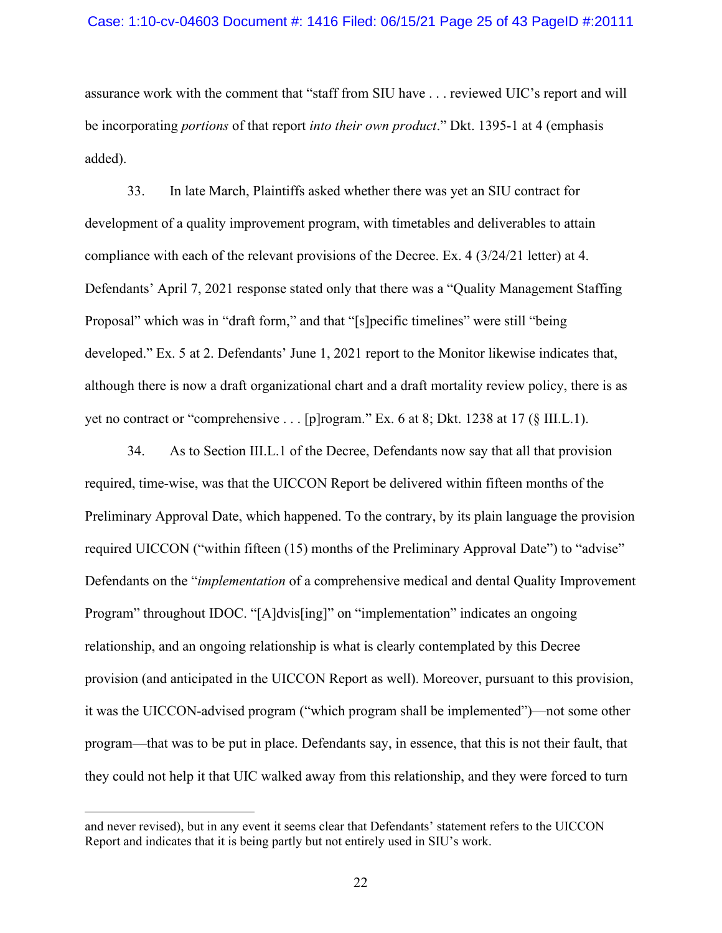#### Case: 1:10-cv-04603 Document #: 1416 Filed: 06/15/21 Page 25 of 43 PageID #:20111

assurance work with the comment that "staff from SIU have . . . reviewed UIC's report and will be incorporating *portions* of that report *into their own product*." Dkt. 1395-1 at 4 (emphasis added).

33. In late March, Plaintiffs asked whether there was yet an SIU contract for development of a quality improvement program, with timetables and deliverables to attain compliance with each of the relevant provisions of the Decree. Ex. 4 (3/24/21 letter) at 4. Defendants' April 7, 2021 response stated only that there was a "Quality Management Staffing Proposal" which was in "draft form," and that "[s]pecific timelines" were still "being developed." Ex. 5 at 2. Defendants' June 1, 2021 report to the Monitor likewise indicates that, although there is now a draft organizational chart and a draft mortality review policy, there is as yet no contract or "comprehensive . . . [p]rogram." Ex. 6 at 8; Dkt. 1238 at 17 (§ III.L.1).

34. As to Section III.L.1 of the Decree, Defendants now say that all that provision required, time-wise, was that the UICCON Report be delivered within fifteen months of the Preliminary Approval Date, which happened. To the contrary, by its plain language the provision required UICCON ("within fifteen (15) months of the Preliminary Approval Date") to "advise" Defendants on the "*implementation* of a comprehensive medical and dental Quality Improvement Program" throughout IDOC. "[A]dvis[ing]" on "implementation" indicates an ongoing relationship, and an ongoing relationship is what is clearly contemplated by this Decree provision (and anticipated in the UICCON Report as well). Moreover, pursuant to this provision, it was the UICCON-advised program ("which program shall be implemented")—not some other program—that was to be put in place. Defendants say, in essence, that this is not their fault, that they could not help it that UIC walked away from this relationship, and they were forced to turn

and never revised), but in any event it seems clear that Defendants' statement refers to the UICCON Report and indicates that it is being partly but not entirely used in SIU's work.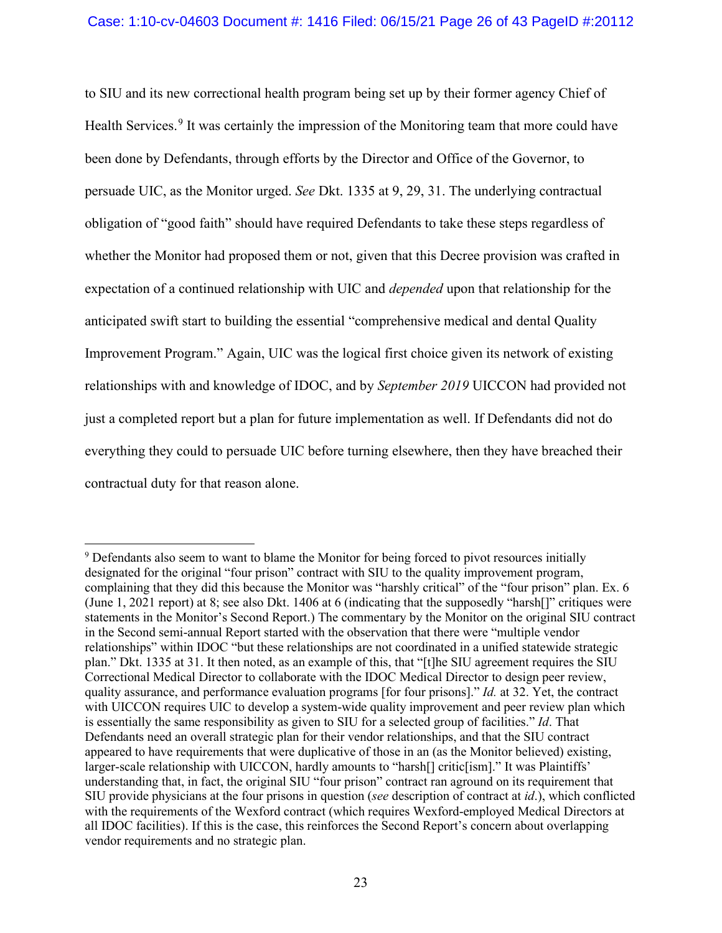to SIU and its new correctional health program being set up by their former agency Chief of Health Services.<sup>[9](#page-25-0)</sup> It was certainly the impression of the Monitoring team that more could have been done by Defendants, through efforts by the Director and Office of the Governor, to persuade UIC, as the Monitor urged. *See* Dkt. 1335 at 9, 29, 31. The underlying contractual obligation of "good faith" should have required Defendants to take these steps regardless of whether the Monitor had proposed them or not, given that this Decree provision was crafted in expectation of a continued relationship with UIC and *depended* upon that relationship for the anticipated swift start to building the essential "comprehensive medical and dental Quality Improvement Program." Again, UIC was the logical first choice given its network of existing relationships with and knowledge of IDOC, and by *September 2019* UICCON had provided not just a completed report but a plan for future implementation as well. If Defendants did not do everything they could to persuade UIC before turning elsewhere, then they have breached their contractual duty for that reason alone.

<span id="page-25-0"></span><sup>&</sup>lt;sup>9</sup> Defendants also seem to want to blame the Monitor for being forced to pivot resources initially designated for the original "four prison" contract with SIU to the quality improvement program, complaining that they did this because the Monitor was "harshly critical" of the "four prison" plan. Ex. 6 (June 1, 2021 report) at 8; see also Dkt. 1406 at 6 (indicating that the supposedly "harsh[]" critiques were statements in the Monitor's Second Report.) The commentary by the Monitor on the original SIU contract in the Second semi-annual Report started with the observation that there were "multiple vendor relationships" within IDOC "but these relationships are not coordinated in a unified statewide strategic plan." Dkt. 1335 at 31. It then noted, as an example of this, that "[t]he SIU agreement requires the SIU Correctional Medical Director to collaborate with the IDOC Medical Director to design peer review, quality assurance, and performance evaluation programs [for four prisons]." *Id.* at 32. Yet, the contract with UICCON requires UIC to develop a system-wide quality improvement and peer review plan which is essentially the same responsibility as given to SIU for a selected group of facilities." *Id*. That Defendants need an overall strategic plan for their vendor relationships, and that the SIU contract appeared to have requirements that were duplicative of those in an (as the Monitor believed) existing, larger-scale relationship with UICCON, hardly amounts to "harsh[] critic[ism]." It was Plaintiffs' understanding that, in fact, the original SIU "four prison" contract ran aground on its requirement that SIU provide physicians at the four prisons in question (*see* description of contract at *id*.), which conflicted with the requirements of the Wexford contract (which requires Wexford-employed Medical Directors at all IDOC facilities). If this is the case, this reinforces the Second Report's concern about overlapping vendor requirements and no strategic plan.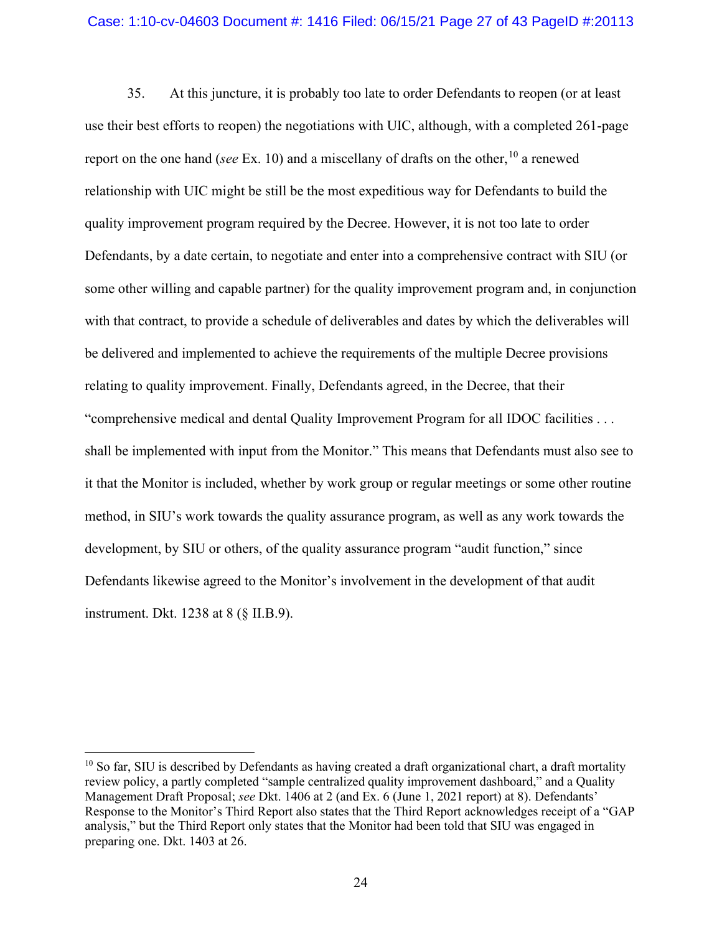#### Case: 1:10-cv-04603 Document #: 1416 Filed: 06/15/21 Page 27 of 43 PageID #:20113

35. At this juncture, it is probably too late to order Defendants to reopen (or at least use their best efforts to reopen) the negotiations with UIC, although, with a completed 261-page report on the one hand (*see* Ex. 10) and a miscellany of drafts on the other, [10](#page-26-0) a renewed relationship with UIC might be still be the most expeditious way for Defendants to build the quality improvement program required by the Decree. However, it is not too late to order Defendants, by a date certain, to negotiate and enter into a comprehensive contract with SIU (or some other willing and capable partner) for the quality improvement program and, in conjunction with that contract, to provide a schedule of deliverables and dates by which the deliverables will be delivered and implemented to achieve the requirements of the multiple Decree provisions relating to quality improvement. Finally, Defendants agreed, in the Decree, that their "comprehensive medical and dental Quality Improvement Program for all IDOC facilities . . . shall be implemented with input from the Monitor." This means that Defendants must also see to it that the Monitor is included, whether by work group or regular meetings or some other routine method, in SIU's work towards the quality assurance program, as well as any work towards the development, by SIU or others, of the quality assurance program "audit function," since Defendants likewise agreed to the Monitor's involvement in the development of that audit instrument. Dkt. 1238 at 8 (§ II.B.9).

<span id="page-26-0"></span> $10$  So far, SIU is described by Defendants as having created a draft organizational chart, a draft mortality review policy, a partly completed "sample centralized quality improvement dashboard," and a Quality Management Draft Proposal; *see* Dkt. 1406 at 2 (and Ex. 6 (June 1, 2021 report) at 8). Defendants' Response to the Monitor's Third Report also states that the Third Report acknowledges receipt of a "GAP analysis," but the Third Report only states that the Monitor had been told that SIU was engaged in preparing one. Dkt. 1403 at 26.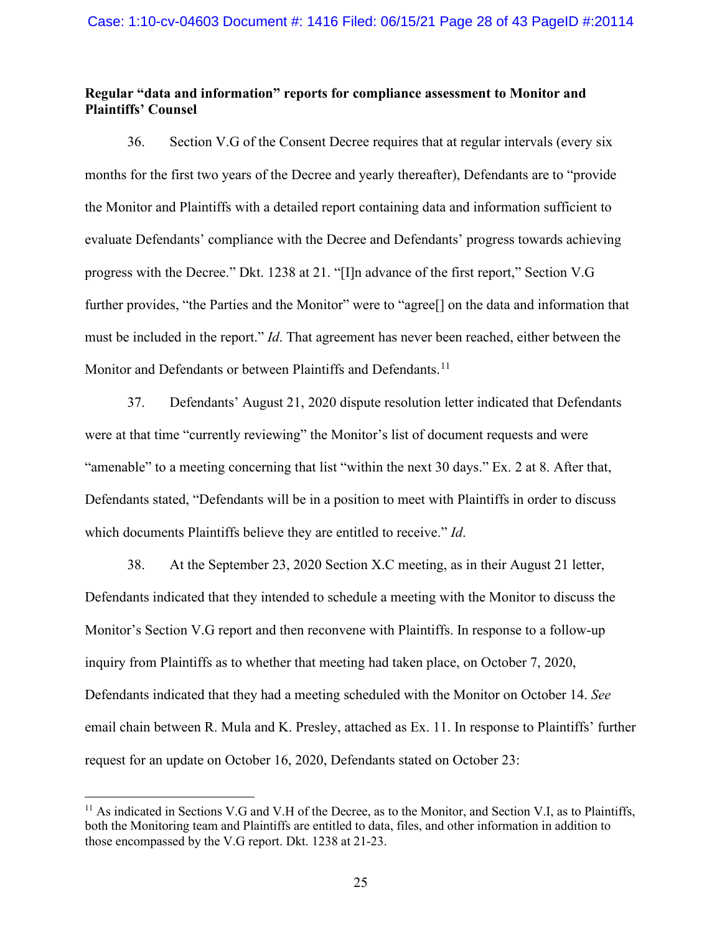### **Regular "data and information" reports for compliance assessment to Monitor and Plaintiffs' Counsel**

36. Section V.G of the Consent Decree requires that at regular intervals (every six months for the first two years of the Decree and yearly thereafter), Defendants are to "provide the Monitor and Plaintiffs with a detailed report containing data and information sufficient to evaluate Defendants' compliance with the Decree and Defendants' progress towards achieving progress with the Decree." Dkt. 1238 at 21. "[I]n advance of the first report," Section V.G further provides, "the Parties and the Monitor" were to "agree<sup>[]</sup> on the data and information that must be included in the report." *Id*. That agreement has never been reached, either between the Monitor and Defendants or between Plaintiffs and Defendants.<sup>[11](#page-27-0)</sup>

37. Defendants' August 21, 2020 dispute resolution letter indicated that Defendants were at that time "currently reviewing" the Monitor's list of document requests and were "amenable" to a meeting concerning that list "within the next 30 days." Ex. 2 at 8. After that, Defendants stated, "Defendants will be in a position to meet with Plaintiffs in order to discuss which documents Plaintiffs believe they are entitled to receive." *Id*.

38. At the September 23, 2020 Section X.C meeting, as in their August 21 letter, Defendants indicated that they intended to schedule a meeting with the Monitor to discuss the Monitor's Section V.G report and then reconvene with Plaintiffs. In response to a follow-up inquiry from Plaintiffs as to whether that meeting had taken place, on October 7, 2020, Defendants indicated that they had a meeting scheduled with the Monitor on October 14. *See*  email chain between R. Mula and K. Presley, attached as Ex. 11. In response to Plaintiffs' further request for an update on October 16, 2020, Defendants stated on October 23:

<span id="page-27-0"></span><sup>&</sup>lt;sup>11</sup> As indicated in Sections V.G and V.H of the Decree, as to the Monitor, and Section V.I, as to Plaintiffs, both the Monitoring team and Plaintiffs are entitled to data, files, and other information in addition to those encompassed by the V.G report. Dkt. 1238 at 21-23.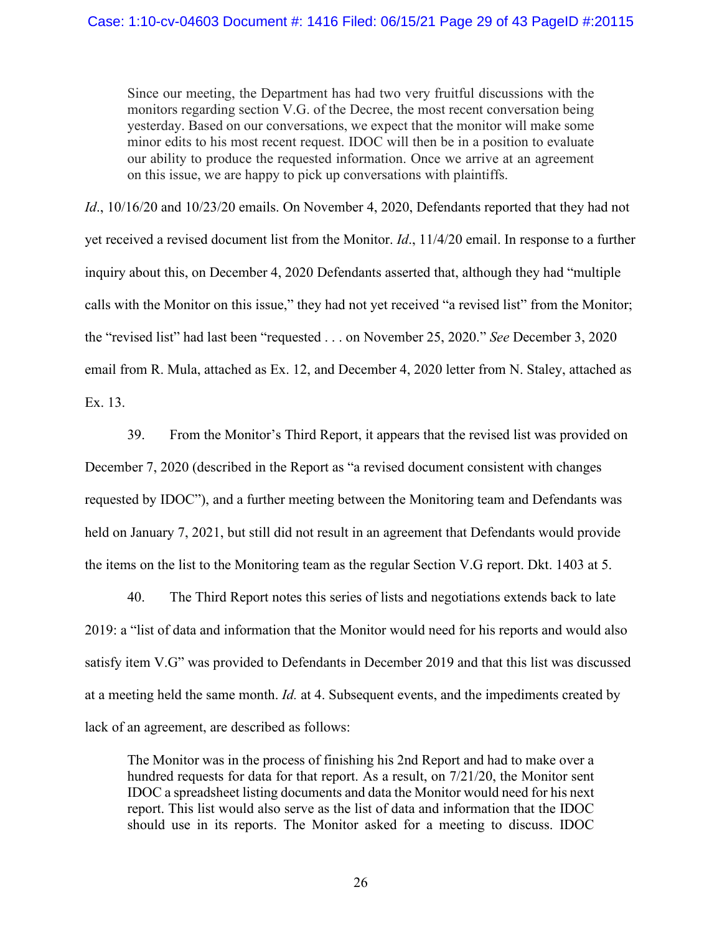Since our meeting, the Department has had two very fruitful discussions with the monitors regarding section V.G. of the Decree, the most recent conversation being yesterday. Based on our conversations, we expect that the monitor will make some minor edits to his most recent request. IDOC will then be in a position to evaluate our ability to produce the requested information. Once we arrive at an agreement on this issue, we are happy to pick up conversations with plaintiffs.

*Id*., 10/16/20 and 10/23/20 emails. On November 4, 2020, Defendants reported that they had not yet received a revised document list from the Monitor. *Id*., 11/4/20 email. In response to a further inquiry about this, on December 4, 2020 Defendants asserted that, although they had "multiple calls with the Monitor on this issue," they had not yet received "a revised list" from the Monitor; the "revised list" had last been "requested . . . on November 25, 2020." *See* December 3, 2020 email from R. Mula, attached as Ex. 12, and December 4, 2020 letter from N. Staley, attached as Ex. 13.

39. From the Monitor's Third Report, it appears that the revised list was provided on December 7, 2020 (described in the Report as "a revised document consistent with changes requested by IDOC"), and a further meeting between the Monitoring team and Defendants was held on January 7, 2021, but still did not result in an agreement that Defendants would provide the items on the list to the Monitoring team as the regular Section V.G report. Dkt. 1403 at 5.

40. The Third Report notes this series of lists and negotiations extends back to late 2019: a "list of data and information that the Monitor would need for his reports and would also satisfy item V.G" was provided to Defendants in December 2019 and that this list was discussed at a meeting held the same month. *Id.* at 4. Subsequent events, and the impediments created by lack of an agreement, are described as follows:

The Monitor was in the process of finishing his 2nd Report and had to make over a hundred requests for data for that report. As a result, on 7/21/20, the Monitor sent IDOC a spreadsheet listing documents and data the Monitor would need for his next report. This list would also serve as the list of data and information that the IDOC should use in its reports. The Monitor asked for a meeting to discuss. IDOC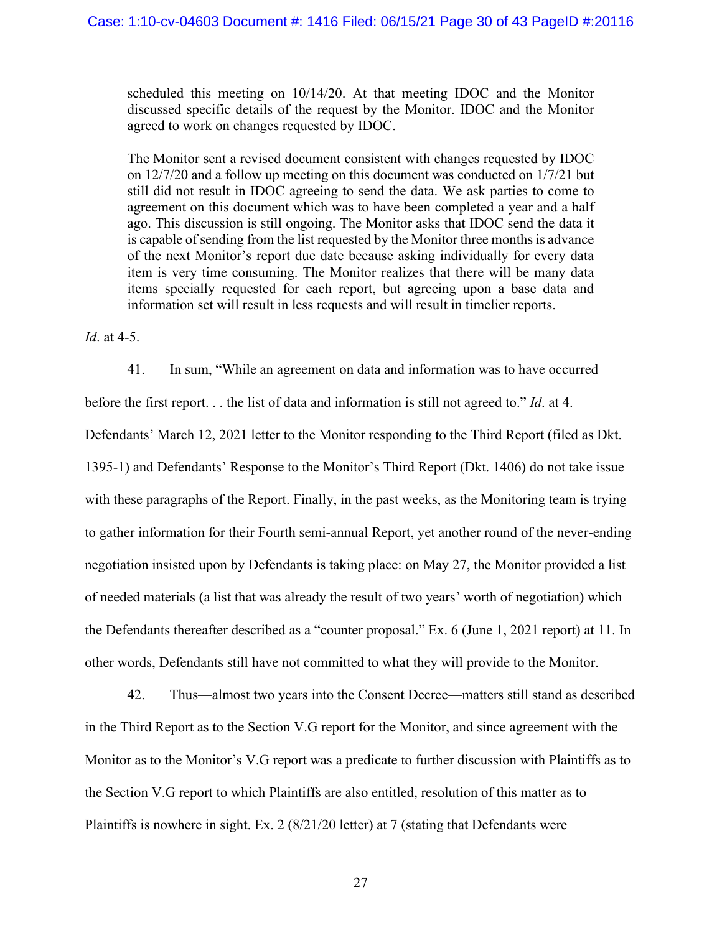scheduled this meeting on 10/14/20. At that meeting IDOC and the Monitor discussed specific details of the request by the Monitor. IDOC and the Monitor agreed to work on changes requested by IDOC.

The Monitor sent a revised document consistent with changes requested by IDOC on 12/7/20 and a follow up meeting on this document was conducted on 1/7/21 but still did not result in IDOC agreeing to send the data. We ask parties to come to agreement on this document which was to have been completed a year and a half ago. This discussion is still ongoing. The Monitor asks that IDOC send the data it is capable of sending from the list requested by the Monitor three months is advance of the next Monitor's report due date because asking individually for every data item is very time consuming. The Monitor realizes that there will be many data items specially requested for each report, but agreeing upon a base data and information set will result in less requests and will result in timelier reports.

*Id*. at 4-5.

41. In sum, "While an agreement on data and information was to have occurred

before the first report. . . the list of data and information is still not agreed to." *Id*. at 4.

Defendants' March 12, 2021 letter to the Monitor responding to the Third Report (filed as Dkt.

1395-1) and Defendants' Response to the Monitor's Third Report (Dkt. 1406) do not take issue with these paragraphs of the Report. Finally, in the past weeks, as the Monitoring team is trying to gather information for their Fourth semi-annual Report, yet another round of the never-ending negotiation insisted upon by Defendants is taking place: on May 27, the Monitor provided a list of needed materials (a list that was already the result of two years' worth of negotiation) which the Defendants thereafter described as a "counter proposal." Ex. 6 (June 1, 2021 report) at 11. In other words, Defendants still have not committed to what they will provide to the Monitor.

42. Thus—almost two years into the Consent Decree—matters still stand as described in the Third Report as to the Section V.G report for the Monitor, and since agreement with the Monitor as to the Monitor's V.G report was a predicate to further discussion with Plaintiffs as to the Section V.G report to which Plaintiffs are also entitled, resolution of this matter as to Plaintiffs is nowhere in sight. Ex. 2 (8/21/20 letter) at 7 (stating that Defendants were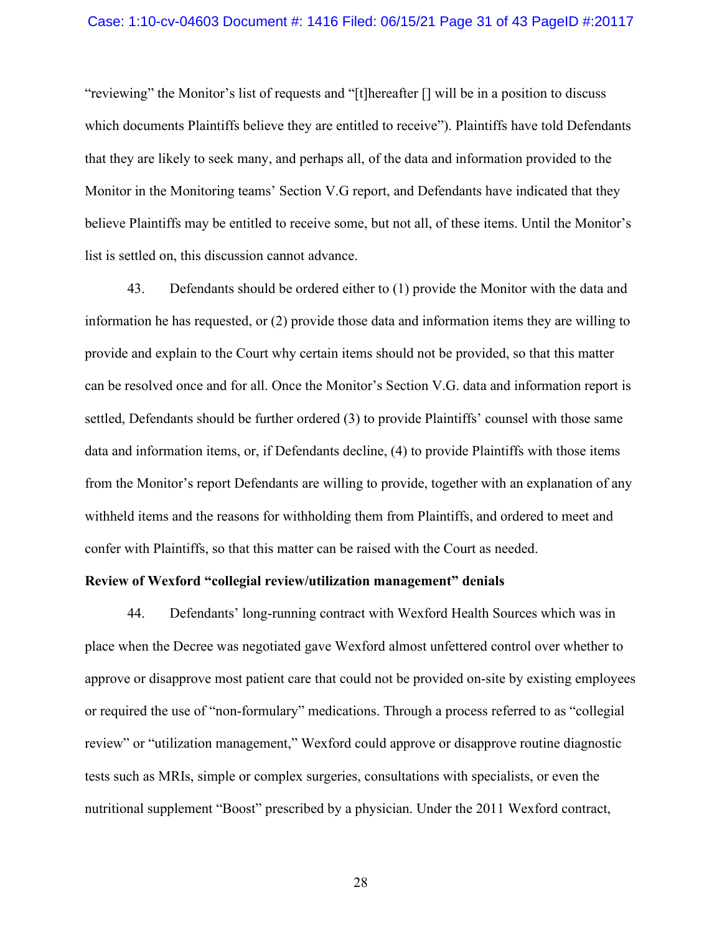#### Case: 1:10-cv-04603 Document #: 1416 Filed: 06/15/21 Page 31 of 43 PageID #:20117

"reviewing" the Monitor's list of requests and "[t]hereafter [] will be in a position to discuss which documents Plaintiffs believe they are entitled to receive"). Plaintiffs have told Defendants that they are likely to seek many, and perhaps all, of the data and information provided to the Monitor in the Monitoring teams' Section V.G report, and Defendants have indicated that they believe Plaintiffs may be entitled to receive some, but not all, of these items. Until the Monitor's list is settled on, this discussion cannot advance.

43. Defendants should be ordered either to (1) provide the Monitor with the data and information he has requested, or (2) provide those data and information items they are willing to provide and explain to the Court why certain items should not be provided, so that this matter can be resolved once and for all. Once the Monitor's Section V.G. data and information report is settled, Defendants should be further ordered (3) to provide Plaintiffs' counsel with those same data and information items, or, if Defendants decline, (4) to provide Plaintiffs with those items from the Monitor's report Defendants are willing to provide, together with an explanation of any withheld items and the reasons for withholding them from Plaintiffs, and ordered to meet and confer with Plaintiffs, so that this matter can be raised with the Court as needed.

#### **Review of Wexford "collegial review/utilization management" denials**

44. Defendants' long-running contract with Wexford Health Sources which was in place when the Decree was negotiated gave Wexford almost unfettered control over whether to approve or disapprove most patient care that could not be provided on-site by existing employees or required the use of "non-formulary" medications. Through a process referred to as "collegial review" or "utilization management," Wexford could approve or disapprove routine diagnostic tests such as MRIs, simple or complex surgeries, consultations with specialists, or even the nutritional supplement "Boost" prescribed by a physician. Under the 2011 Wexford contract,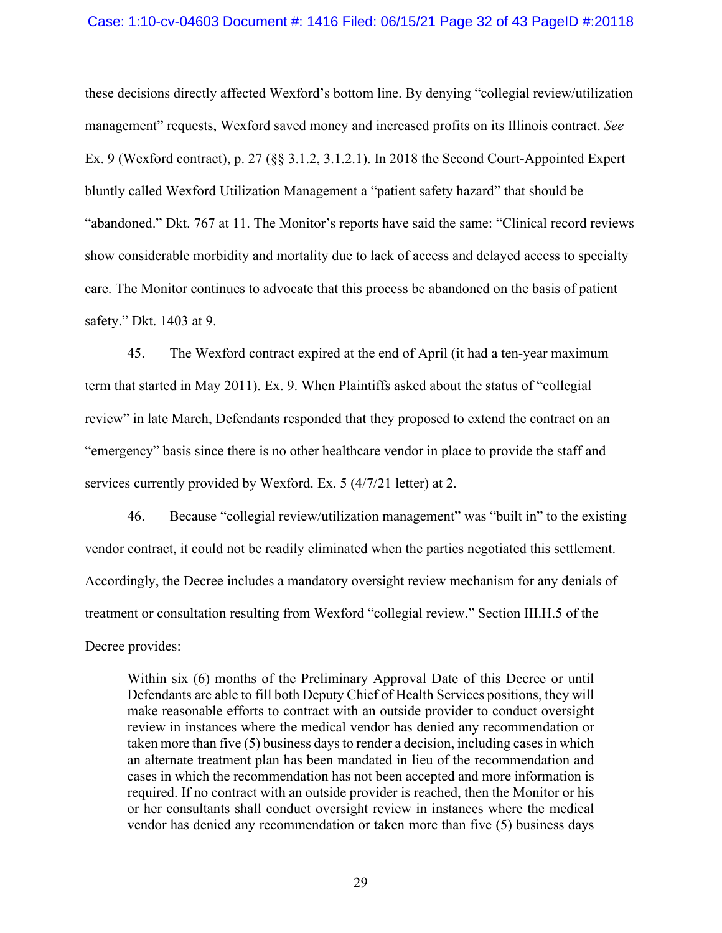#### Case: 1:10-cv-04603 Document #: 1416 Filed: 06/15/21 Page 32 of 43 PageID #:20118

these decisions directly affected Wexford's bottom line. By denying "collegial review/utilization management" requests, Wexford saved money and increased profits on its Illinois contract. *See*  Ex. 9 (Wexford contract), p. 27 (§§ 3.1.2, 3.1.2.1). In 2018 the Second Court-Appointed Expert bluntly called Wexford Utilization Management a "patient safety hazard" that should be "abandoned." Dkt. 767 at 11. The Monitor's reports have said the same: "Clinical record reviews show considerable morbidity and mortality due to lack of access and delayed access to specialty care. The Monitor continues to advocate that this process be abandoned on the basis of patient safety." Dkt. 1403 at 9.

45. The Wexford contract expired at the end of April (it had a ten-year maximum term that started in May 2011). Ex. 9. When Plaintiffs asked about the status of "collegial review" in late March, Defendants responded that they proposed to extend the contract on an "emergency" basis since there is no other healthcare vendor in place to provide the staff and services currently provided by Wexford. Ex. 5 (4/7/21 letter) at 2.

46. Because "collegial review/utilization management" was "built in" to the existing vendor contract, it could not be readily eliminated when the parties negotiated this settlement. Accordingly, the Decree includes a mandatory oversight review mechanism for any denials of treatment or consultation resulting from Wexford "collegial review." Section III.H.5 of the Decree provides:

Within six (6) months of the Preliminary Approval Date of this Decree or until Defendants are able to fill both Deputy Chief of Health Services positions, they will make reasonable efforts to contract with an outside provider to conduct oversight review in instances where the medical vendor has denied any recommendation or taken more than five (5) business days to render a decision, including cases in which an alternate treatment plan has been mandated in lieu of the recommendation and cases in which the recommendation has not been accepted and more information is required. If no contract with an outside provider is reached, then the Monitor or his or her consultants shall conduct oversight review in instances where the medical vendor has denied any recommendation or taken more than five (5) business days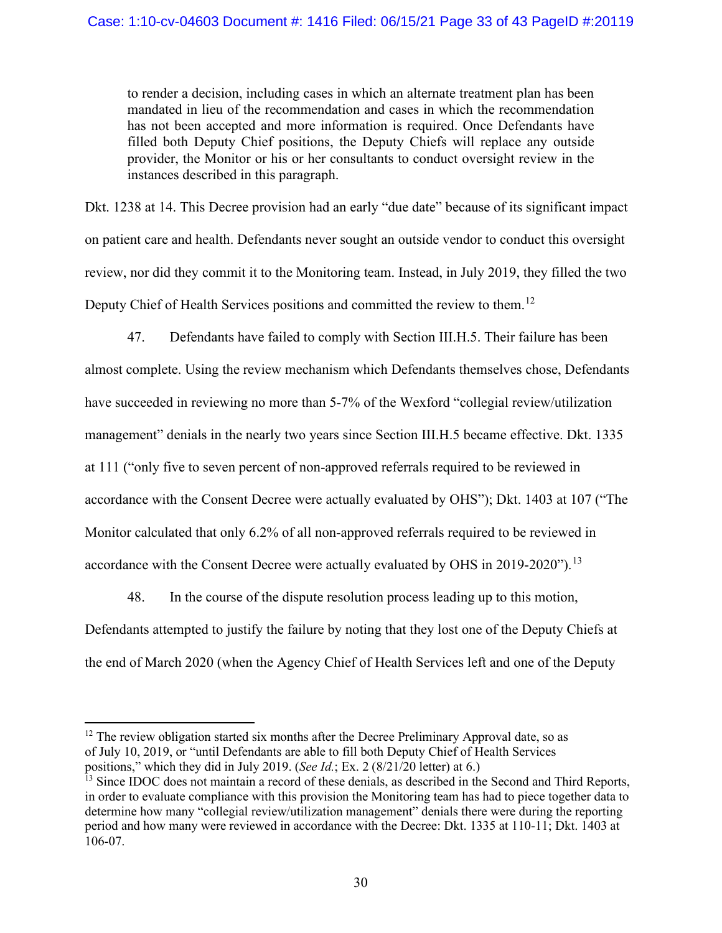to render a decision, including cases in which an alternate treatment plan has been mandated in lieu of the recommendation and cases in which the recommendation has not been accepted and more information is required. Once Defendants have filled both Deputy Chief positions, the Deputy Chiefs will replace any outside provider, the Monitor or his or her consultants to conduct oversight review in the instances described in this paragraph.

Dkt. 1238 at 14. This Decree provision had an early "due date" because of its significant impact on patient care and health. Defendants never sought an outside vendor to conduct this oversight review, nor did they commit it to the Monitoring team. Instead, in July 2019, they filled the two Deputy Chief of Health Services positions and committed the review to them.[12](#page-32-0)

47. Defendants have failed to comply with Section III.H.5. Their failure has been almost complete. Using the review mechanism which Defendants themselves chose, Defendants have succeeded in reviewing no more than 5-7% of the Wexford "collegial review/utilization management" denials in the nearly two years since Section III.H.5 became effective. Dkt. 1335 at 111 ("only five to seven percent of non-approved referrals required to be reviewed in accordance with the Consent Decree were actually evaluated by OHS"); Dkt. 1403 at 107 ("The Monitor calculated that only 6.2% of all non-approved referrals required to be reviewed in accordance with the Consent Decree were actually evaluated by OHS in 2019-2020").<sup>[13](#page-32-1)</sup>

48. In the course of the dispute resolution process leading up to this motion, Defendants attempted to justify the failure by noting that they lost one of the Deputy Chiefs at the end of March 2020 (when the Agency Chief of Health Services left and one of the Deputy

<span id="page-32-0"></span> $12$  The review obligation started six months after the Decree Preliminary Approval date, so as of July 10, 2019, or "until Defendants are able to fill both Deputy Chief of Health Services positions," which they did in July 2019. (*See Id.*; Ex. 2 (8/21/20 letter) at 6.)

<span id="page-32-1"></span><sup>&</sup>lt;sup>13</sup> Since IDOC does not maintain a record of these denials, as described in the Second and Third Reports, in order to evaluate compliance with this provision the Monitoring team has had to piece together data to determine how many "collegial review/utilization management" denials there were during the reporting period and how many were reviewed in accordance with the Decree: Dkt. 1335 at 110-11; Dkt. 1403 at 106-07.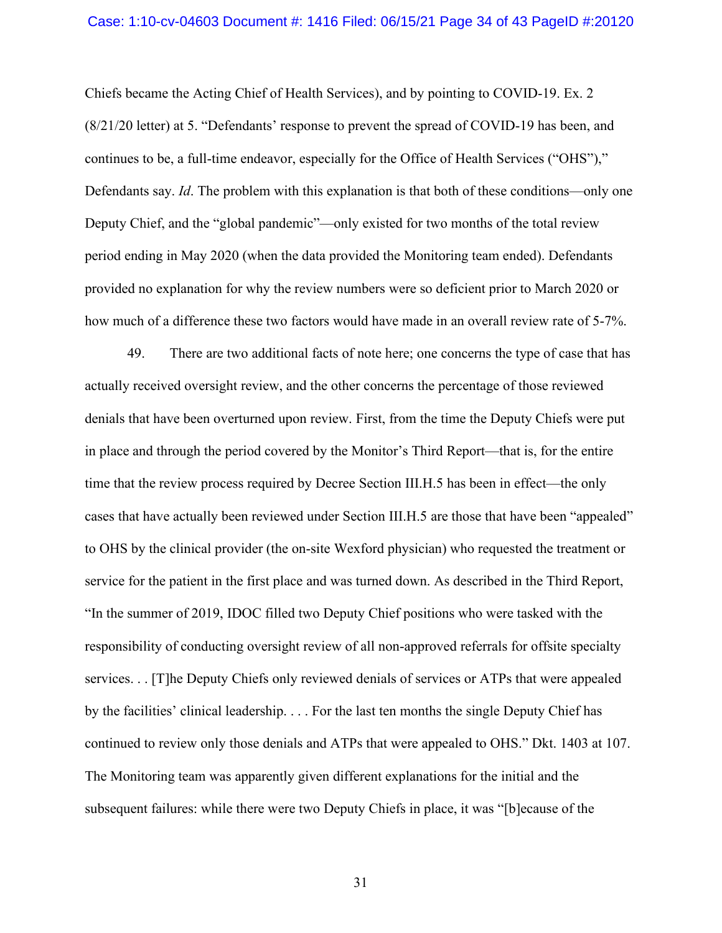#### Case: 1:10-cv-04603 Document #: 1416 Filed: 06/15/21 Page 34 of 43 PageID #:20120

Chiefs became the Acting Chief of Health Services), and by pointing to COVID-19. Ex. 2 (8/21/20 letter) at 5. "Defendants' response to prevent the spread of COVID-19 has been, and continues to be, a full-time endeavor, especially for the Office of Health Services ("OHS")," Defendants say. *Id*. The problem with this explanation is that both of these conditions—only one Deputy Chief, and the "global pandemic"—only existed for two months of the total review period ending in May 2020 (when the data provided the Monitoring team ended). Defendants provided no explanation for why the review numbers were so deficient prior to March 2020 or how much of a difference these two factors would have made in an overall review rate of 5-7%.

49. There are two additional facts of note here; one concerns the type of case that has actually received oversight review, and the other concerns the percentage of those reviewed denials that have been overturned upon review. First, from the time the Deputy Chiefs were put in place and through the period covered by the Monitor's Third Report—that is, for the entire time that the review process required by Decree Section III.H.5 has been in effect—the only cases that have actually been reviewed under Section III.H.5 are those that have been "appealed" to OHS by the clinical provider (the on-site Wexford physician) who requested the treatment or service for the patient in the first place and was turned down. As described in the Third Report, "In the summer of 2019, IDOC filled two Deputy Chief positions who were tasked with the responsibility of conducting oversight review of all non-approved referrals for offsite specialty services. . . [T]he Deputy Chiefs only reviewed denials of services or ATPs that were appealed by the facilities' clinical leadership. . . . For the last ten months the single Deputy Chief has continued to review only those denials and ATPs that were appealed to OHS." Dkt. 1403 at 107. The Monitoring team was apparently given different explanations for the initial and the subsequent failures: while there were two Deputy Chiefs in place, it was "[b]ecause of the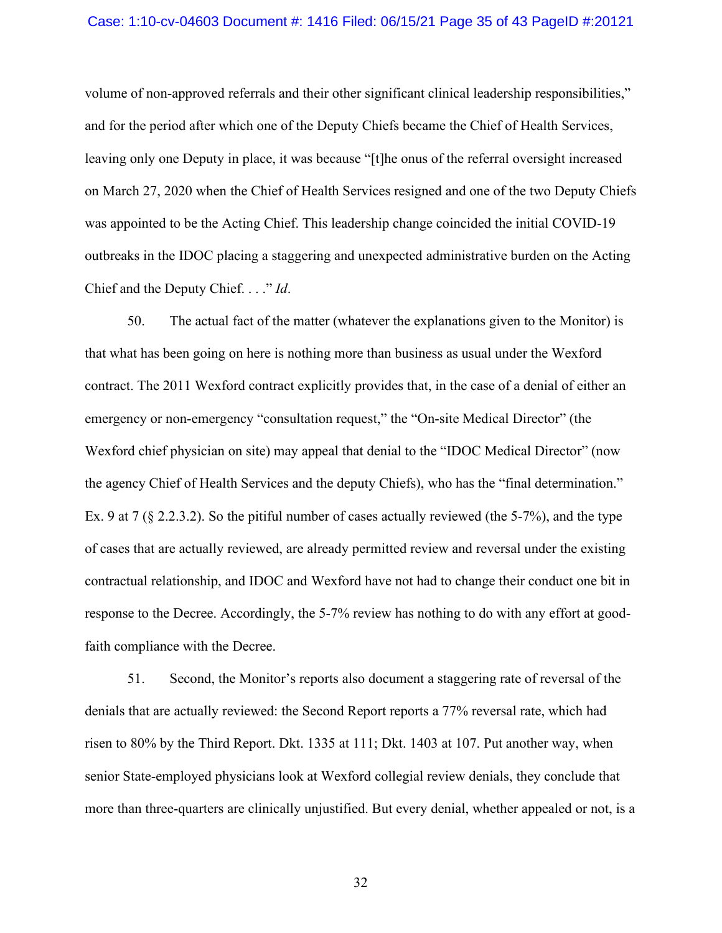#### Case: 1:10-cv-04603 Document #: 1416 Filed: 06/15/21 Page 35 of 43 PageID #:20121

volume of non-approved referrals and their other significant clinical leadership responsibilities," and for the period after which one of the Deputy Chiefs became the Chief of Health Services, leaving only one Deputy in place, it was because "[t]he onus of the referral oversight increased on March 27, 2020 when the Chief of Health Services resigned and one of the two Deputy Chiefs was appointed to be the Acting Chief. This leadership change coincided the initial COVID-19 outbreaks in the IDOC placing a staggering and unexpected administrative burden on the Acting Chief and the Deputy Chief. . . ." *Id*.

50. The actual fact of the matter (whatever the explanations given to the Monitor) is that what has been going on here is nothing more than business as usual under the Wexford contract. The 2011 Wexford contract explicitly provides that, in the case of a denial of either an emergency or non-emergency "consultation request," the "On-site Medical Director" (the Wexford chief physician on site) may appeal that denial to the "IDOC Medical Director" (now the agency Chief of Health Services and the deputy Chiefs), who has the "final determination." Ex. 9 at 7 (§ 2.2.3.2). So the pitiful number of cases actually reviewed (the 5-7%), and the type of cases that are actually reviewed, are already permitted review and reversal under the existing contractual relationship, and IDOC and Wexford have not had to change their conduct one bit in response to the Decree. Accordingly, the 5-7% review has nothing to do with any effort at goodfaith compliance with the Decree.

51. Second, the Monitor's reports also document a staggering rate of reversal of the denials that are actually reviewed: the Second Report reports a 77% reversal rate, which had risen to 80% by the Third Report. Dkt. 1335 at 111; Dkt. 1403 at 107. Put another way, when senior State-employed physicians look at Wexford collegial review denials, they conclude that more than three-quarters are clinically unjustified. But every denial, whether appealed or not, is a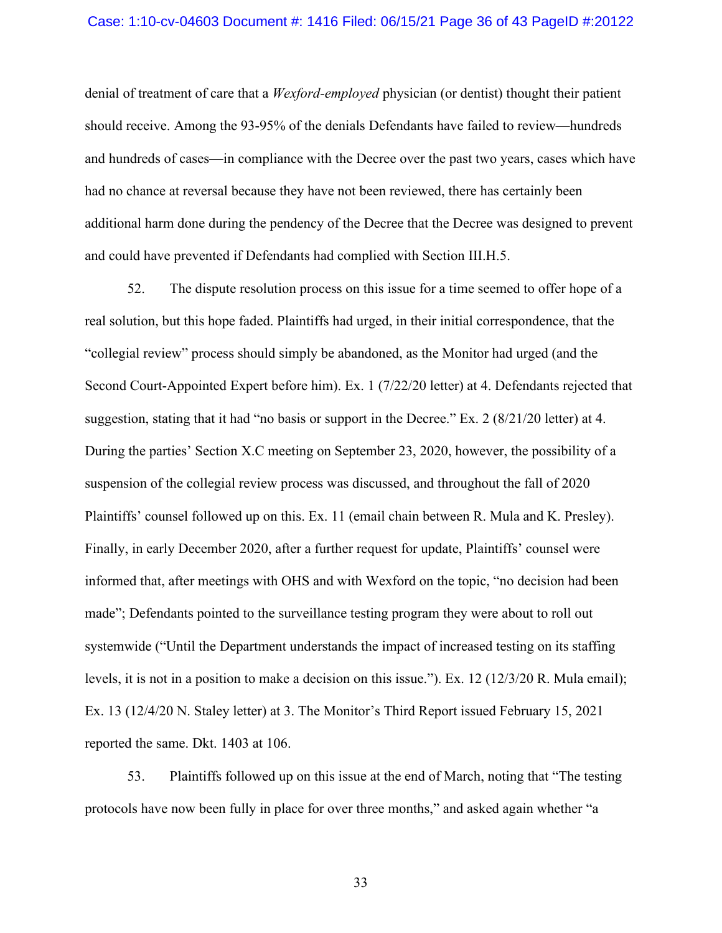#### Case: 1:10-cv-04603 Document #: 1416 Filed: 06/15/21 Page 36 of 43 PageID #:20122

denial of treatment of care that a *Wexford-employed* physician (or dentist) thought their patient should receive. Among the 93-95% of the denials Defendants have failed to review—hundreds and hundreds of cases—in compliance with the Decree over the past two years, cases which have had no chance at reversal because they have not been reviewed, there has certainly been additional harm done during the pendency of the Decree that the Decree was designed to prevent and could have prevented if Defendants had complied with Section III.H.5.

52. The dispute resolution process on this issue for a time seemed to offer hope of a real solution, but this hope faded. Plaintiffs had urged, in their initial correspondence, that the "collegial review" process should simply be abandoned, as the Monitor had urged (and the Second Court-Appointed Expert before him). Ex. 1 (7/22/20 letter) at 4. Defendants rejected that suggestion, stating that it had "no basis or support in the Decree." Ex. 2 (8/21/20 letter) at 4. During the parties' Section X.C meeting on September 23, 2020, however, the possibility of a suspension of the collegial review process was discussed, and throughout the fall of 2020 Plaintiffs' counsel followed up on this. Ex. 11 (email chain between R. Mula and K. Presley). Finally, in early December 2020, after a further request for update, Plaintiffs' counsel were informed that, after meetings with OHS and with Wexford on the topic, "no decision had been made"; Defendants pointed to the surveillance testing program they were about to roll out systemwide ("Until the Department understands the impact of increased testing on its staffing levels, it is not in a position to make a decision on this issue."). Ex. 12 (12/3/20 R. Mula email); Ex. 13 (12/4/20 N. Staley letter) at 3. The Monitor's Third Report issued February 15, 2021 reported the same. Dkt. 1403 at 106.

53. Plaintiffs followed up on this issue at the end of March, noting that "The testing protocols have now been fully in place for over three months," and asked again whether "a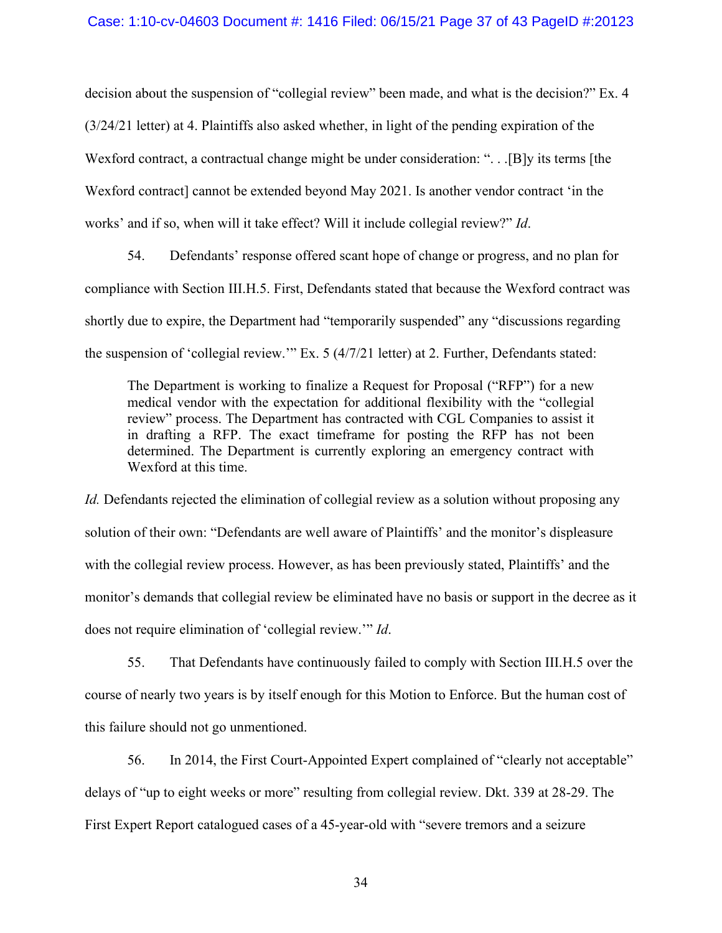decision about the suspension of "collegial review" been made, and what is the decision?" Ex. 4 (3/24/21 letter) at 4. Plaintiffs also asked whether, in light of the pending expiration of the Wexford contract, a contractual change might be under consideration: "... [B]y its terms [the Wexford contract] cannot be extended beyond May 2021. Is another vendor contract 'in the works' and if so, when will it take effect? Will it include collegial review?" *Id*.

54. Defendants' response offered scant hope of change or progress, and no plan for compliance with Section III.H.5. First, Defendants stated that because the Wexford contract was shortly due to expire, the Department had "temporarily suspended" any "discussions regarding the suspension of 'collegial review.'" Ex. 5 (4/7/21 letter) at 2. Further, Defendants stated:

The Department is working to finalize a Request for Proposal ("RFP") for a new medical vendor with the expectation for additional flexibility with the "collegial review" process. The Department has contracted with CGL Companies to assist it in drafting a RFP. The exact timeframe for posting the RFP has not been determined. The Department is currently exploring an emergency contract with Wexford at this time.

*Id.* Defendants rejected the elimination of collegial review as a solution without proposing any solution of their own: "Defendants are well aware of Plaintiffs' and the monitor's displeasure with the collegial review process. However, as has been previously stated, Plaintiffs' and the monitor's demands that collegial review be eliminated have no basis or support in the decree as it does not require elimination of 'collegial review.'" *Id*.

55. That Defendants have continuously failed to comply with Section III.H.5 over the course of nearly two years is by itself enough for this Motion to Enforce. But the human cost of this failure should not go unmentioned.

56. In 2014, the First Court-Appointed Expert complained of "clearly not acceptable" delays of "up to eight weeks or more" resulting from collegial review. Dkt. 339 at 28-29. The First Expert Report catalogued cases of a 45-year-old with "severe tremors and a seizure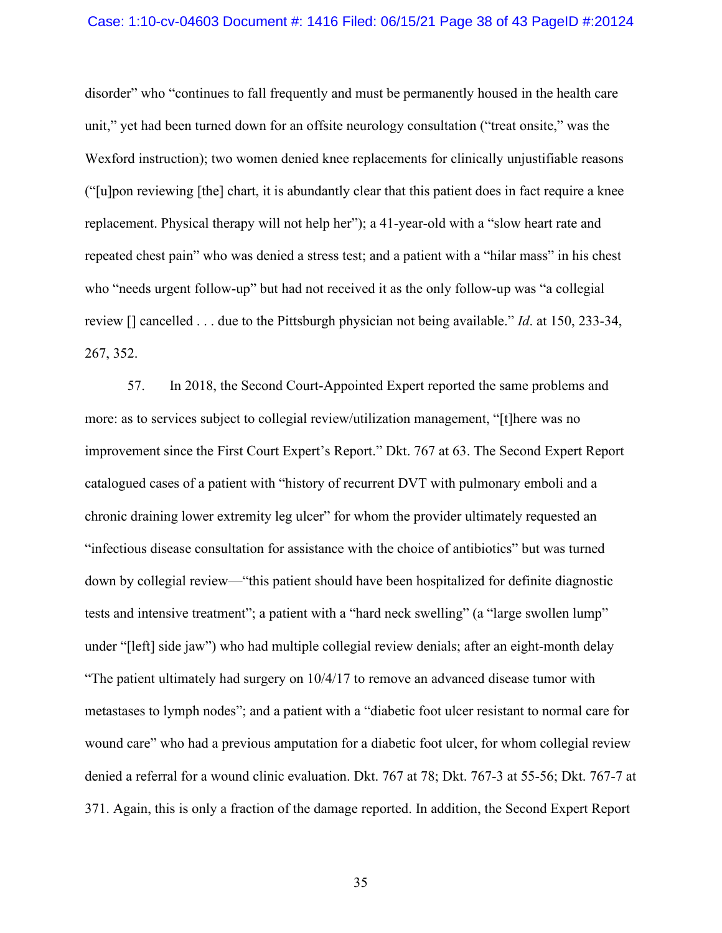#### Case: 1:10-cv-04603 Document #: 1416 Filed: 06/15/21 Page 38 of 43 PageID #:20124

disorder" who "continues to fall frequently and must be permanently housed in the health care unit," yet had been turned down for an offsite neurology consultation ("treat onsite," was the Wexford instruction); two women denied knee replacements for clinically unjustifiable reasons ("[u]pon reviewing [the] chart, it is abundantly clear that this patient does in fact require a knee replacement. Physical therapy will not help her"); a 41-year-old with a "slow heart rate and repeated chest pain" who was denied a stress test; and a patient with a "hilar mass" in his chest who "needs urgent follow-up" but had not received it as the only follow-up was "a collegial review [] cancelled . . . due to the Pittsburgh physician not being available." *Id*. at 150, 233-34, 267, 352.

57. In 2018, the Second Court-Appointed Expert reported the same problems and more: as to services subject to collegial review/utilization management, "[t]here was no improvement since the First Court Expert's Report." Dkt. 767 at 63. The Second Expert Report catalogued cases of a patient with "history of recurrent DVT with pulmonary emboli and a chronic draining lower extremity leg ulcer" for whom the provider ultimately requested an "infectious disease consultation for assistance with the choice of antibiotics" but was turned down by collegial review—"this patient should have been hospitalized for definite diagnostic tests and intensive treatment"; a patient with a "hard neck swelling" (a "large swollen lump" under "[left] side jaw") who had multiple collegial review denials; after an eight-month delay "The patient ultimately had surgery on 10/4/17 to remove an advanced disease tumor with metastases to lymph nodes"; and a patient with a "diabetic foot ulcer resistant to normal care for wound care" who had a previous amputation for a diabetic foot ulcer, for whom collegial review denied a referral for a wound clinic evaluation. Dkt. 767 at 78; Dkt. 767-3 at 55-56; Dkt. 767-7 at 371. Again, this is only a fraction of the damage reported. In addition, the Second Expert Report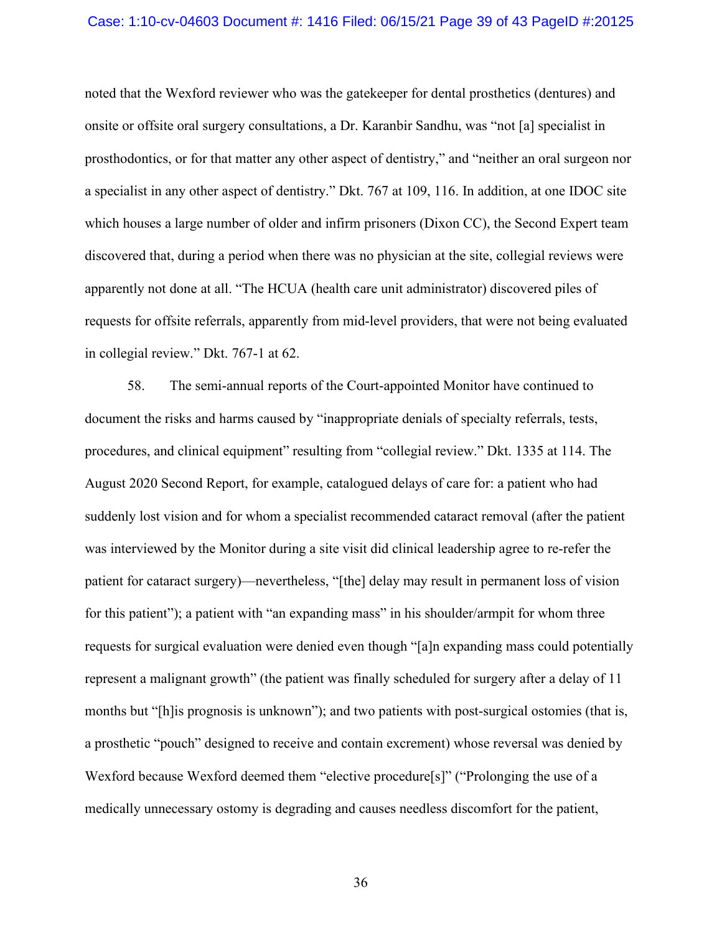#### Case: 1:10-cv-04603 Document #: 1416 Filed: 06/15/21 Page 39 of 43 PageID #:20125

noted that the Wexford reviewer who was the gatekeeper for dental prosthetics (dentures) and onsite or offsite oral surgery consultations, a Dr. Karanbir Sandhu, was "not [a] specialist in prosthodontics, or for that matter any other aspect of dentistry," and "neither an oral surgeon nor a specialist in any other aspect of dentistry." Dkt. 767 at 109, 116. In addition, at one IDOC site which houses a large number of older and infirm prisoners (Dixon CC), the Second Expert team discovered that, during a period when there was no physician at the site, collegial reviews were apparently not done at all. "The HCUA (health care unit administrator) discovered piles of requests for offsite referrals, apparently from mid-level providers, that were not being evaluated in collegial review." Dkt. 767-1 at 62.

58. The semi-annual reports of the Court-appointed Monitor have continued to document the risks and harms caused by "inappropriate denials of specialty referrals, tests, procedures, and clinical equipment" resulting from "collegial review." Dkt. 1335 at 114. The August 2020 Second Report, for example, catalogued delays of care for: a patient who had suddenly lost vision and for whom a specialist recommended cataract removal (after the patient was interviewed by the Monitor during a site visit did clinical leadership agree to re-refer the patient for cataract surgery)—nevertheless, "[the] delay may result in permanent loss of vision for this patient"); a patient with "an expanding mass" in his shoulder/armpit for whom three requests for surgical evaluation were denied even though "[a]n expanding mass could potentially represent a malignant growth" (the patient was finally scheduled for surgery after a delay of 11 months but "[h]is prognosis is unknown"); and two patients with post-surgical ostomies (that is, a prosthetic "pouch" designed to receive and contain excrement) whose reversal was denied by Wexford because Wexford deemed them "elective procedure[s]" ("Prolonging the use of a medically unnecessary ostomy is degrading and causes needless discomfort for the patient,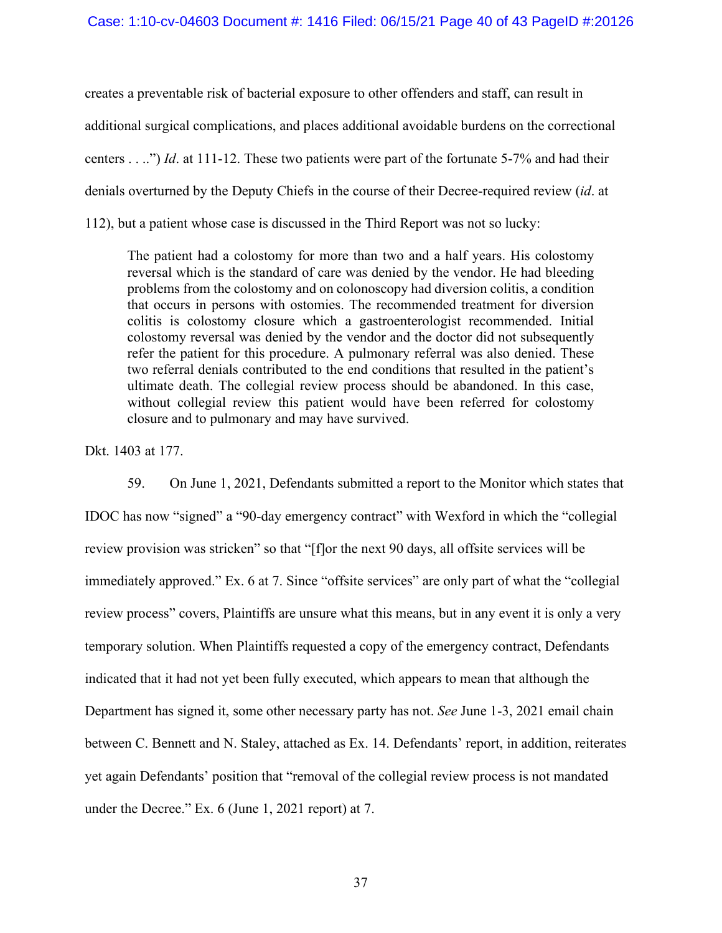creates a preventable risk of bacterial exposure to other offenders and staff, can result in additional surgical complications, and places additional avoidable burdens on the correctional centers . . ..") *Id*. at 111-12. These two patients were part of the fortunate 5-7% and had their denials overturned by the Deputy Chiefs in the course of their Decree-required review (*id*. at 112), but a patient whose case is discussed in the Third Report was not so lucky:

The patient had a colostomy for more than two and a half years. His colostomy reversal which is the standard of care was denied by the vendor. He had bleeding problems from the colostomy and on colonoscopy had diversion colitis, a condition that occurs in persons with ostomies. The recommended treatment for diversion colitis is colostomy closure which a gastroenterologist recommended. Initial colostomy reversal was denied by the vendor and the doctor did not subsequently refer the patient for this procedure. A pulmonary referral was also denied. These two referral denials contributed to the end conditions that resulted in the patient's ultimate death. The collegial review process should be abandoned. In this case, without collegial review this patient would have been referred for colostomy closure and to pulmonary and may have survived.

Dkt. 1403 at 177.

59. On June 1, 2021, Defendants submitted a report to the Monitor which states that IDOC has now "signed" a "90-day emergency contract" with Wexford in which the "collegial review provision was stricken" so that "[f]or the next 90 days, all offsite services will be immediately approved." Ex. 6 at 7. Since "offsite services" are only part of what the "collegial review process" covers, Plaintiffs are unsure what this means, but in any event it is only a very temporary solution. When Plaintiffs requested a copy of the emergency contract, Defendants indicated that it had not yet been fully executed, which appears to mean that although the Department has signed it, some other necessary party has not. *See* June 1-3, 2021 email chain between C. Bennett and N. Staley, attached as Ex. 14. Defendants' report, in addition, reiterates yet again Defendants' position that "removal of the collegial review process is not mandated under the Decree." Ex. 6 (June 1, 2021 report) at 7.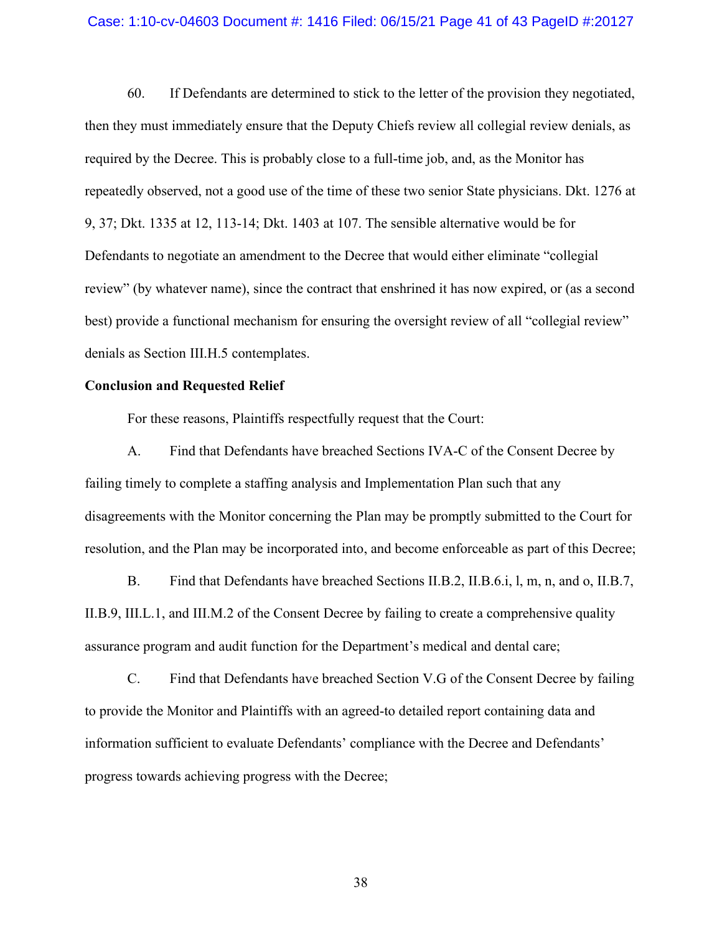#### Case: 1:10-cv-04603 Document #: 1416 Filed: 06/15/21 Page 41 of 43 PageID #:20127

60. If Defendants are determined to stick to the letter of the provision they negotiated, then they must immediately ensure that the Deputy Chiefs review all collegial review denials, as required by the Decree. This is probably close to a full-time job, and, as the Monitor has repeatedly observed, not a good use of the time of these two senior State physicians. Dkt. 1276 at 9, 37; Dkt. 1335 at 12, 113-14; Dkt. 1403 at 107. The sensible alternative would be for Defendants to negotiate an amendment to the Decree that would either eliminate "collegial review" (by whatever name), since the contract that enshrined it has now expired, or (as a second best) provide a functional mechanism for ensuring the oversight review of all "collegial review" denials as Section III.H.5 contemplates.

### **Conclusion and Requested Relief**

For these reasons, Plaintiffs respectfully request that the Court:

A. Find that Defendants have breached Sections IVA-C of the Consent Decree by failing timely to complete a staffing analysis and Implementation Plan such that any disagreements with the Monitor concerning the Plan may be promptly submitted to the Court for resolution, and the Plan may be incorporated into, and become enforceable as part of this Decree;

B. Find that Defendants have breached Sections II.B.2, II.B.6.i, l, m, n, and o, II.B.7, II.B.9, III.L.1, and III.M.2 of the Consent Decree by failing to create a comprehensive quality assurance program and audit function for the Department's medical and dental care;

C. Find that Defendants have breached Section V.G of the Consent Decree by failing to provide the Monitor and Plaintiffs with an agreed-to detailed report containing data and information sufficient to evaluate Defendants' compliance with the Decree and Defendants' progress towards achieving progress with the Decree;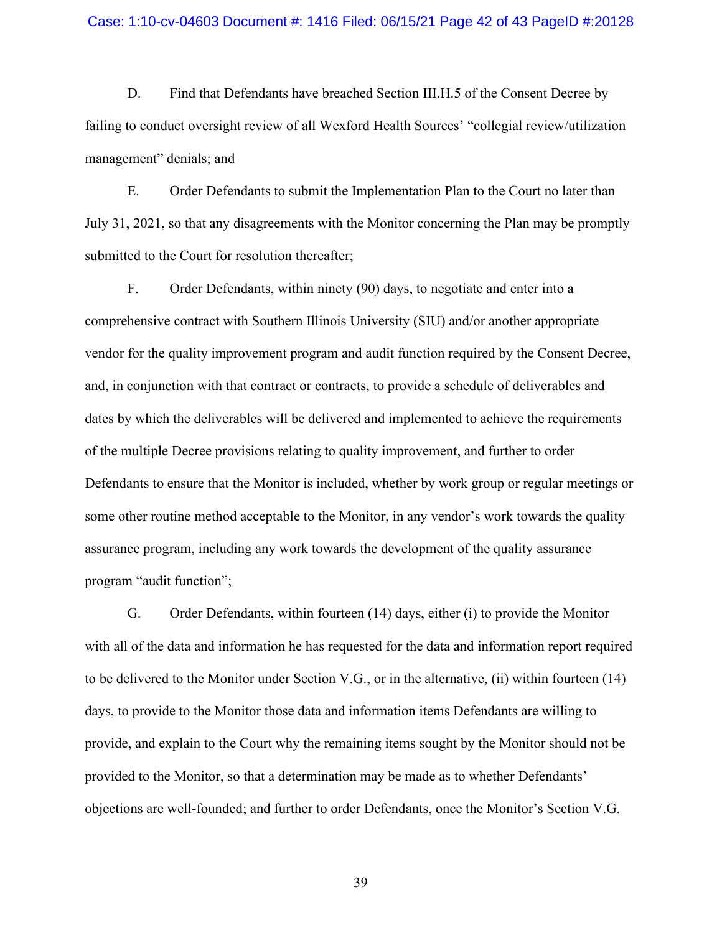#### Case: 1:10-cv-04603 Document #: 1416 Filed: 06/15/21 Page 42 of 43 PageID #:20128

D. Find that Defendants have breached Section III.H.5 of the Consent Decree by failing to conduct oversight review of all Wexford Health Sources' "collegial review/utilization management" denials; and

E. Order Defendants to submit the Implementation Plan to the Court no later than July 31, 2021, so that any disagreements with the Monitor concerning the Plan may be promptly submitted to the Court for resolution thereafter;

F. Order Defendants, within ninety (90) days, to negotiate and enter into a comprehensive contract with Southern Illinois University (SIU) and/or another appropriate vendor for the quality improvement program and audit function required by the Consent Decree, and, in conjunction with that contract or contracts, to provide a schedule of deliverables and dates by which the deliverables will be delivered and implemented to achieve the requirements of the multiple Decree provisions relating to quality improvement, and further to order Defendants to ensure that the Monitor is included, whether by work group or regular meetings or some other routine method acceptable to the Monitor, in any vendor's work towards the quality assurance program, including any work towards the development of the quality assurance program "audit function";

G. Order Defendants, within fourteen (14) days, either (i) to provide the Monitor with all of the data and information he has requested for the data and information report required to be delivered to the Monitor under Section V.G., or in the alternative, (ii) within fourteen (14) days, to provide to the Monitor those data and information items Defendants are willing to provide, and explain to the Court why the remaining items sought by the Monitor should not be provided to the Monitor, so that a determination may be made as to whether Defendants' objections are well-founded; and further to order Defendants, once the Monitor's Section V.G.